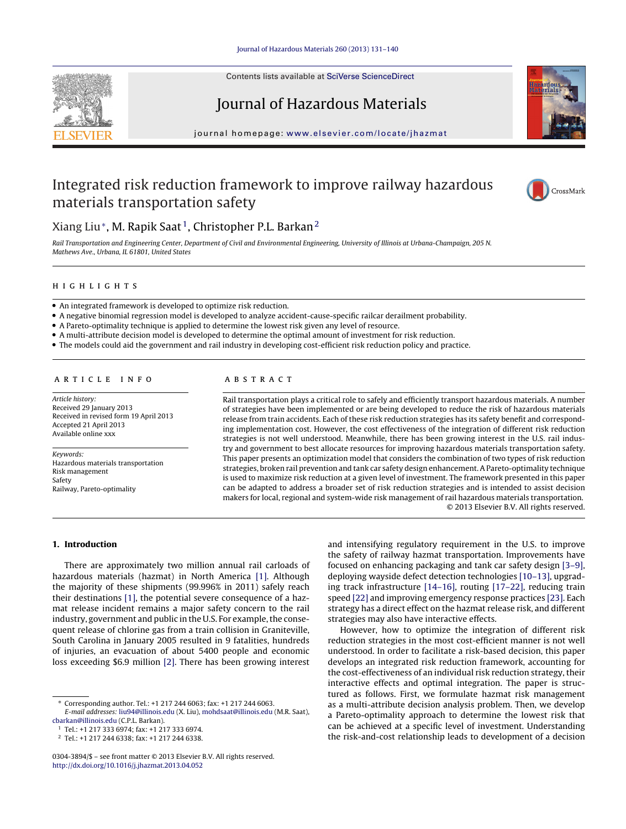

Contents lists available at SciVerse [ScienceDirect](http://www.sciencedirect.com/science/journal/03043894)

# Journal of Hazardous Materials

jour nal homepage: [www.elsevier.com/locate/jhazmat](http://www.elsevier.com/locate/jhazmat)

## Integrated risk reduction framework to improve railway hazardous materials transportation safety



## Xiang Liu $^*$ , M. Rapik Saat<sup>1</sup>, Christopher P.L. Barkan<sup>2</sup>

Rail Transportation and Engineering Center, Department of Civil and Environmental Engineering, University of Illinois at Urbana-Champaign, 205 N. Mathews Ave., Urbana, IL 61801, United States

### **HIGHLIGHTS**

- An integrated framework is developed to optimize risk reduction.
- A negative binomial regression model is developed to analyze accident-cause-specific railcar derailment probability.

• A Pareto-optimality technique is applied to determine the lowest risk given any level of resource.

- A multi-attribute decision model is developed to determine the optimal amount of investment for risk reduction.
- The models could aid the government and rail industry in developing cost-efficient risk reduction policy and practice.

Article history: Received 29 January 2013 Received in revised form 19 April 2013 Accepted 21 April 2013 Available online xxx

Keywords: Hazardous materials transportation Risk management Safety Railway, Pareto-optimality

Rail transportation plays a critical role to safely and efficiently transport hazardous materials. A number of strategies have been implemented or are being developed to reduce the risk of hazardous materials release from train accidents. Each of these risk reduction strategies has its safety benefit and corresponding implementation cost. However, the cost effectiveness of the integration of different risk reduction strategies is not well understood. Meanwhile, there has been growing interest in the U.S. rail industry and government to best allocate resources for improving hazardous materials transportation safety. This paper presents an optimization model that considers the combination of two types of risk reduction strategies, broken rail prevention and tank car safety design enhancement. A Pareto-optimality technique is used to maximize risk reduction at a given level of investment. The framework presented in this paper can be adapted to address a broader set of risk reduction strategies and is intended to assist decision makers for local, regional and system-wide risk management of rail hazardous materials transportation. © 2013 Elsevier B.V. All rights reserved.

#### **1. Introduction**

There are approximately two million annual rail carloads of hazardous materials (hazmat) in North America [\[1\].](#page-8-0) Although the majority of these shipments (99.996% in 2011) safely reach their destinations [\[1\],](#page-8-0) the potential severe consequence of a hazmat release incident remains a major safety concern to the rail industry, government and public in the U.S. For example, the consequent release of chlorine gas from a train collision in Graniteville, South Carolina in January 2005 resulted in 9 fatalities, hundreds of injuries, an evacuation of about 5400 people and economic loss exceeding \$6.9 million [\[2\].](#page-8-0) There has been growing interest

[cbarkan@illinois.edu](mailto:cbarkan@illinois.edu) (C.P.L. Barkan).

<sup>1</sup> Tel.: +1 217 333 6974; fax: +1 217 333 6974.

<sup>2</sup> Tel.: +1 217 244 6338; fax: +1 217 244 6338.

and intensifying regulatory requirement in the U.S. to improve the safety of railway hazmat transportation. Improvements have focused on enhancing packaging and tank car safety design [\[3–9\],](#page-8-0) deploying wayside defect detection technologies [\[10–13\],](#page-8-0) upgrading track infrastructure [\[14–16\],](#page-8-0) routing [\[17–22\],](#page-8-0) reducing train speed [\[22\]](#page-8-0) and improving emergency response practices [\[23\].](#page-8-0) Each strategy has a direct effect on the hazmat release risk, and different strategies may also have interactive effects.

However, how to optimize the integration of different risk reduction strategies in the most cost-efficient manner is not well understood. In order to facilitate a risk-based decision, this paper develops an integrated risk reduction framework, accounting for the cost-effectiveness of an individual risk reduction strategy, their interactive effects and optimal integration. The paper is structured as follows. First, we formulate hazmat risk management as a multi-attribute decision analysis problem. Then, we develop a Pareto-optimality approach to determine the lowest risk that can be achieved at a specific level of investment. Understanding the risk-and-cost relationship leads to development of a decision

<sup>∗</sup> Corresponding author. Tel.: +1 217 244 6063; fax: +1 217 244 6063. E-mail addresses: [liu94@illinois.edu](mailto:liu94@illinois.edu) (X. Liu), [mohdsaat@illinois.edu](mailto:mohdsaat@illinois.edu) (M.R. Saat),

<sup>0304-3894/\$</sup> – see front matter © 2013 Elsevier B.V. All rights reserved. [http://dx.doi.org/10.1016/j.jhazmat.2013.04.052](dx.doi.org/10.1016/j.jhazmat.2013.04.052)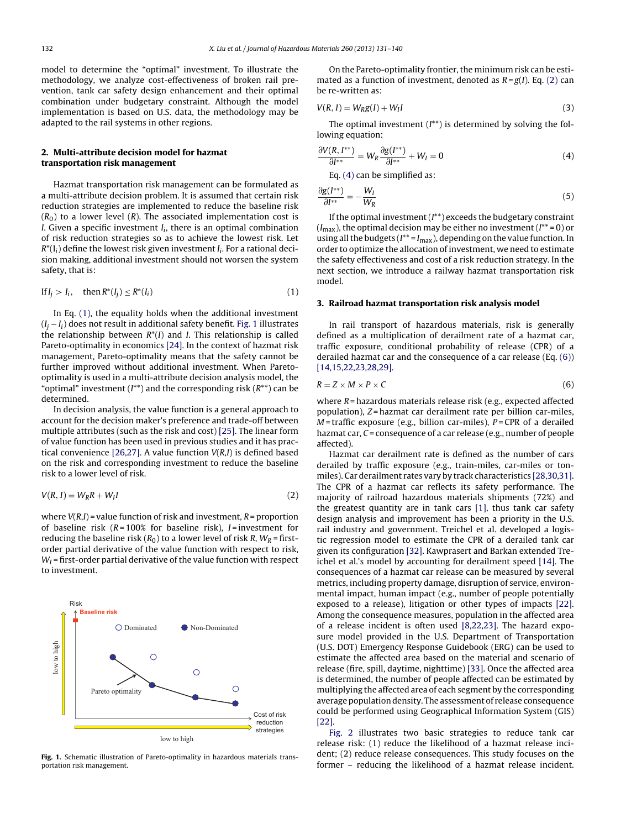<span id="page-1-0"></span>model to determine the "optimal" investment. To illustrate the methodology, we analyze cost-effectiveness of broken rail prevention, tank car safety design enhancement and their optimal combination under budgetary constraint. Although the model implementation is based on U.S. data, the methodology may be adapted to the rail systems in other regions.

### **2. Multi-attribute decision model for hazmat transportation risk management**

Hazmat transportation risk management can be formulated as a multi-attribute decision problem. It is assumed that certain risk reduction strategies are implemented to reduce the baseline risk  $(R<sub>0</sub>)$  to a lower level  $(R)$ . The associated implementation cost is I. Given a specific investment  $I_i$ , there is an optimal combination of risk reduction strategies so as to achieve the lowest risk. Let  $R^*(I_i)$  define the lowest risk given investment  $I_i$ . For a rational decision making, additional investment should not worsen the system safety, that is:

$$
\text{If } I_j > I_i, \quad \text{then } R^*(I_j) \le R^*(I_i) \tag{1}
$$

In Eq. (1), the equality holds when the additional investment  $(I_i - I_i)$  does not result in additional safety benefit. Fig. 1 illustrates the relationship between  $R^*(I)$  and *I*. This relationship is called Pareto-optimality in economics [\[24\].](#page-8-0) In the context of hazmat risk management, Pareto-optimality means that the safety cannot be further improved without additional investment. When Paretooptimality is used in a multi-attribute decision analysis model, the "optimal" investment  $(I^{**})$  and the corresponding risk  $(R^{**})$  can be determined.

In decision analysis, the value function is a general approach to account for the decision maker's preference and trade-off between multiple attributes (such as the risk and cost) [\[25\].](#page-8-0) The linear form of value function has been used in previous studies and it has prac-tical convenience [\[26,27\].](#page-8-0) A value function  $V(R,I)$  is defined based on the risk and corresponding investment to reduce the baseline risk to a lower level of risk.

$$
V(R, I) = W_R R + W_I I \tag{2}
$$

where  $V(R,I)$  = value function of risk and investment,  $R$  = proportion of baseline risk ( $R = 100\%$  for baseline risk),  $I =$  investment for reducing the baseline risk ( $R_0$ ) to a lower level of risk R,  $W_R$  = firstorder partial derivative of the value function with respect to risk,  $W_I$  = first-order partial derivative of the value function with respect to investment.



**Fig. 1.** Schematic illustration of Pareto-optimality in hazardous materials transportation risk management.

On the Pareto-optimality frontier, the minimum risk can be estimated as a function of investment, denoted as  $R = g(I)$ . Eq. (2) can be re-written as:

$$
V(R, I) = WRg(I) + WII
$$
\n(3)

The optimal investment  $(I^{**})$  is determined by solving the following equation:

$$
\frac{\partial V(R, I^{**})}{\partial I^{**}} = W_R \frac{\partial g(I^{**})}{\partial I^{**}} + W_I = 0
$$
\n(4)

Eq. (4) can be simplified as:

$$
\frac{\partial g(I^{**})}{\partial I^{**}} = -\frac{W_I}{W_R} \tag{5}
$$

If the optimal investment  $(I^{**})$  exceeds the budgetary constraint  $(I_{\text{max}})$ , the optimal decision may be either no investment  $(I^{**}=0)$  or using all the budgets ( $I^{**} = I_{\text{max}}$ ), depending on the value function. In order to optimize the allocation of investment, we need to estimate the safety effectiveness and cost of a risk reduction strategy. In the next section, we introduce a railway hazmat transportation risk model.

#### **3. Railroad hazmat transportation risk analysis model**

In rail transport of hazardous materials, risk is generally defined as a multiplication of derailment rate of a hazmat car, traffic exposure, conditional probability of release (CPR) of a derailed hazmat car and the consequence of a car release (Eq. (6)) [\[14,15,22,23,28,29\].](#page-8-0)

$$
R = Z \times M \times P \times C \tag{6}
$$

where  $R$  = hazardous materials release risk (e.g., expected affected population), Z = hazmat car derailment rate per billion car-miles,  $M$  = traffic exposure (e.g., billion car-miles), P = CPR of a derailed hazmat car, C = consequence of a car release (e.g., number of people affected).

Hazmat car derailment rate is defined as the number of cars derailed by traffic exposure (e.g., train-miles, car-miles or tonmiles). Car derailment rates vary by track characteristics [\[28,30,31\].](#page-8-0) The CPR of a hazmat car reflects its safety performance. The majority of railroad hazardous materials shipments (72%) and the greatest quantity are in tank cars [\[1\],](#page-8-0) thus tank car safety design analysis and improvement has been a priority in the U.S. rail industry and government. Treichel et al. developed a logistic regression model to estimate the CPR of a derailed tank car given its configuration [\[32\].](#page-8-0) Kawprasert and Barkan extended Treichel et al.'s model by accounting for derailment speed [\[14\].](#page-8-0) The consequences of a hazmat car release can be measured by several metrics, including property damage, disruption of service, environmental impact, human impact (e.g., number of people potentially exposed to a release), litigation or other types of impacts [\[22\].](#page-8-0) Among the consequence measures, population in the affected area of a release incident is often used [\[8,22,23\].](#page-8-0) The hazard exposure model provided in the U.S. Department of Transportation (U.S. DOT) Emergency Response Guidebook (ERG) can be used to estimate the affected area based on the material and scenario of release (fire, spill, daytime, nighttime) [\[33\].](#page-8-0) Once the affected area is determined, the number of people affected can be estimated by multiplying the affected area of each segment by the corresponding average population density. The assessment of release consequence could be performed using Geographical Information System (GIS) [\[22\].](#page-8-0)

[Fig.](#page-2-0) 2 illustrates two basic strategies to reduce tank car release risk: (1) reduce the likelihood of a hazmat release incident; (2) reduce release consequences. This study focuses on the former – reducing the likelihood of a hazmat release incident.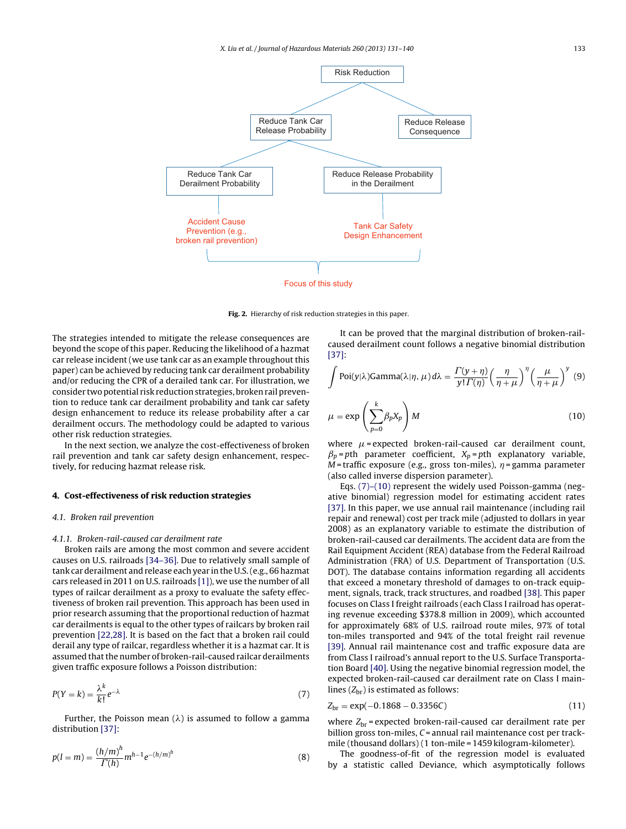<span id="page-2-0"></span>

**Fig. 2.** Hierarchy of risk reduction strategies in this paper.

The strategies intended to mitigate the release consequences are beyond the scope of this paper. Reducing the likelihood of a hazmat car release incident (we use tank car as an example throughout this paper) can be achieved by reducing tank car derailment probability and/or reducing the CPR of a derailed tank car. For illustration, we consider two potential risk reduction strategies, broken rail prevention to reduce tank car derailment probability and tank car safety design enhancement to reduce its release probability after a car derailment occurs. The methodology could be adapted to various other risk reduction strategies.

In the next section, we analyze the cost-effectiveness of broken rail prevention and tank car safety design enhancement, respectively, for reducing hazmat release risk.

#### **4. Cost-effectiveness of risk reduction strategies**

#### 4.1. Broken rail prevention

#### 4.1.1. Broken-rail-caused car derailment rate

Broken rails are among the most common and severe accident causes on U.S. railroads [\[34–36\].](#page-8-0) Due to relatively small sample of tank car derailment and release each year in the U.S.(e.g., 66 hazmat cars released in 2011 on U.S. railroads [\[1\]\),](#page-8-0) we use the number of all types of railcar derailment as a proxy to evaluate the safety effectiveness of broken rail prevention. This approach has been used in prior research assuming that the proportional reduction of hazmat car derailments is equal to the other types of railcars by broken rail prevention [\[22,28\].](#page-8-0) It is based on the fact that a broken rail could derail any type of railcar, regardless whether it is a hazmat car. It is assumed that the number of broken-rail-caused railcar derailments given traffic exposure follows a Poisson distribution:

$$
P(Y=k) = \frac{\lambda^k}{k!} e^{-\lambda} \tag{7}
$$

Further, the Poisson mean  $(\lambda)$  is assumed to follow a gamma distribution [\[37\]:](#page-8-0)

$$
p(l=m) = \frac{(h/m)^h}{\Gamma(h)} m^{h-1} e^{-(h/m)^h}
$$
 (8)

It can be proved that the marginal distribution of broken-railcaused derailment count follows a negative binomial distribution [\[37\]:](#page-8-0)

$$
\int \text{Poi}(y|\lambda) \text{Gamma}(\lambda|\eta, \mu) d\lambda = \frac{\Gamma(y+\eta)}{y!\Gamma(\eta)} \left(\frac{\eta}{\eta+\mu}\right)^{\eta} \left(\frac{\mu}{\eta+\mu}\right)^{y} (9)
$$

$$
\mu = \exp\left(\sum_{p=0}^{k} \beta_p X_p\right) M
$$
(10)

where  $\mu$  = expected broken-rail-caused car derailment count,  $\beta_p$  = pth parameter coefficient,  $X_p$  = pth explanatory variable,  $M$  = traffic exposure (e.g., gross ton-miles),  $\eta$  = gamma parameter (also called inverse dispersion parameter).

Eqs. (7)–(10) represent the widely used Poisson-gamma (negative binomial) regression model for estimating accident rates [\[37\].](#page-8-0) In this paper, we use annual rail maintenance (including rail repair and renewal) cost per track mile (adjusted to dollars in year 2008) as an explanatory variable to estimate the distribution of broken-rail-caused car derailments. The accident data are from the Rail Equipment Accident (REA) database from the Federal Railroad Administration (FRA) of U.S. Department of Transportation (U.S. DOT). The database contains information regarding all accidents that exceed a monetary threshold of damages to on-track equipment, signals, track, track structures, and roadbed [\[38\].](#page-8-0) This paper focuses on Class I freight railroads (each Class I railroad has operating revenue exceeding \$378.8 million in 2009), which accounted for approximately 68% of U.S. railroad route miles, 97% of total ton-miles transported and 94% of the total freight rail revenue [\[39\].](#page-8-0) Annual rail maintenance cost and traffic exposure data are from Class I railroad's annual report to the U.S. Surface Transportation Board [\[40\].](#page-8-0) Using the negative binomial regression model, the expected broken-rail-caused car derailment rate on Class I mainlines  $(Z_{\rm br})$  is estimated as follows:

$$
Z_{\rm br} = \exp(-0.1868 - 0.3356C) \tag{11}
$$

where  $Z_{\rm br}$  = expected broken-rail-caused car derailment rate per billion gross ton-miles,  $C$  = annual rail maintenance cost per trackmile (thousand dollars) (1 ton-mile = 1459 kilogram-kilometer).

The goodness-of-fit of the regression model is evaluated by a statistic called Deviance, which asymptotically follows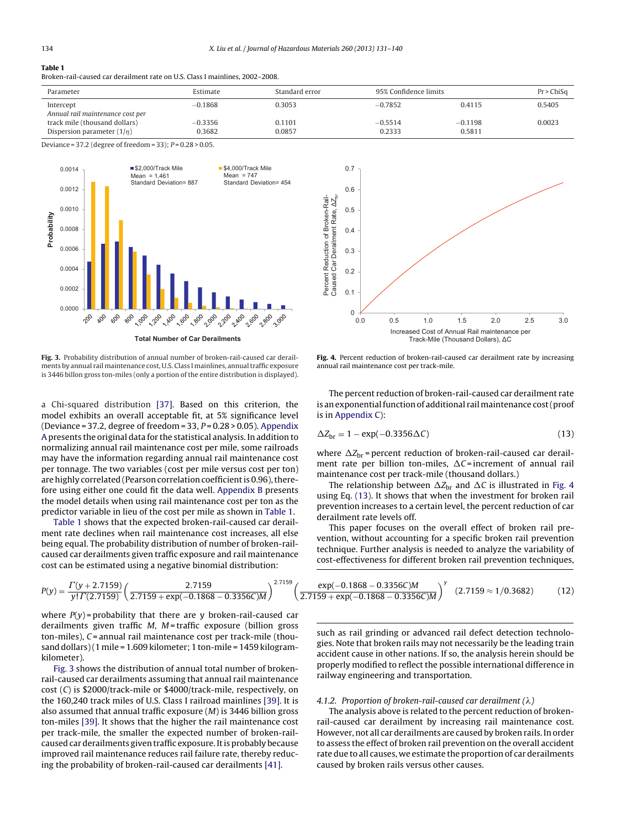### <span id="page-3-0"></span>**Table 1**

Broken-rail-caused car derailment rate on U.S. Class I mainlines, 2002–2008.

| Parameter                                                        | Estimate            | Standard error   | 95% Confidence limits |                     | Pr > ChiSq |
|------------------------------------------------------------------|---------------------|------------------|-----------------------|---------------------|------------|
| Intercept<br>Annual rail maintenance cost per                    | $-0.1868$           | 0.3053           | $-0.7852$             | 0.4115              | 0.5405     |
| track mile (thousand dollars)<br>Dispersion parameter $(1/\eta)$ | $-0.3356$<br>0.3682 | 0.1101<br>0.0857 | $-0.5514$<br>0.2333   | $-0.1198$<br>0.5811 | 0.0023     |

Deviance = 37.2 (degree of freedom = 33);  $P = 0.28 > 0.05$ .



**Total Number of Car Derailments**

**Fig. 3.** Probability distribution of annual number of broken-rail-caused car derailments by annual rail maintenance cost, U.S. Class I mainlines, annual traffic exposure is 3446 billon gross ton-miles (only a portion of the entire distribution is displayed).

a Chi-squared distribution [\[37\].](#page-8-0) Based on this criterion, the model exhibits an overall acceptable fit, at 5% significance level (Deviance = 37.2, degree of freedom = 33,  $P = 0.28 > 0.05$ ). [Appendix](#page-7-0) [A](#page-7-0) presents the original data for the statistical analysis. In addition to normalizing annual rail maintenance cost per mile, some railroads may have the information regarding annual rail maintenance cost per tonnage. The two variables (cost per mile versus cost per ton) are highly correlated (Pearson correlation coefficient is 0.96), therefore using either one could fit the data well. [Appendix](#page-7-0) [B](#page-7-0) presents the model details when using rail maintenance cost per ton as the predictor variable in lieu of the cost per mile as shown in Table 1.

Table 1 shows that the expected broken-rail-caused car derailment rate declines when rail maintenance cost increases, all else being equal. The probability distribution of number of broken-railcaused car derailments given traffic exposure and rail maintenance cost can be estimated using a negative binomial distribution:



**Fig. 4.** Percent reduction of broken-rail-caused car derailment rate by increasing annual rail maintenance cost per track-mile.

The percent reduction of broken-rail-caused car derailment rate is an exponential function of additional rail maintenance cost (proof is in [Appendix](#page-7-0) [C\):](#page-7-0)

$$
\Delta Z_{\rm br} = 1 - \exp(-0.3356\Delta C) \tag{13}
$$

where  $\Delta Z_{\rm br}$  = percent reduction of broken-rail-caused car derailment rate per billion ton-miles,  $\Delta C$ = increment of annual rail maintenance cost per track-mile (thousand dollars.)

The relationship between  $\Delta Z_{\rm br}$  and  $\Delta C$  is illustrated in Fig. 4 using Eq. (13). It shows that when the investment for broken rail prevention increases to a certain level, the percent reduction of car derailment rate levels off.

This paper focuses on the overall effect of broken rail prevention, without accounting for a specific broken rail prevention technique. Further analysis is needed to analyze the variability of cost-effectiveness for different broken rail prevention techniques,

$$
P(y) = \frac{\Gamma(y + 2.7159)}{y! \Gamma(2.7159)} \left( \frac{2.7159}{2.7159 + \exp(-0.1868 - 0.3356C)M} \right)^{2.7159} \left( \frac{\exp(-0.1868 - 0.3356C)M}{2.7159 + \exp(-0.1868 - 0.3356C)M} \right)^{y} (2.7159 \approx 1/0.3682)
$$
(12)

where  $P(y)$  = probability that there are y broken-rail-caused car derailments given traffic  $M$ ,  $M$  = traffic exposure (billion gross  $ton$ -miles),  $C$  = annual rail maintenance cost per track-mile (thousand dollars)(1 mile = 1.609 kilometer; 1 ton-mile = 1459 kilogramkilometer).

Fig. 3 shows the distribution of annual total number of brokenrail-caused car derailments assuming that annual rail maintenance cost (C) is \$2000/track-mile or \$4000/track-mile, respectively, on the 160,240 track miles of U.S. Class I railroad mainlines [\[39\].](#page-8-0) It is also assumed that annual traffic exposure (M) is 3446 billion gross ton-miles [\[39\].](#page-8-0) It shows that the higher the rail maintenance cost per track-mile, the smaller the expected number of broken-railcaused car derailments given traffic exposure. It is probably because improved rail maintenance reduces rail failure rate, thereby reducing the probability of broken-rail-caused car derailments [\[41\].](#page-9-0)

such as rail grinding or advanced rail defect detection technologies. Note that broken rails may not necessarily be the leading train accident cause in other nations. If so, the analysis herein should be properly modified to reflect the possible international difference in railway engineering and transportation.

#### 4.1.2. Proportion of broken-rail-caused car derailment  $(\lambda)$

The analysis above is related to the percent reduction of brokenrail-caused car derailment by increasing rail maintenance cost. However, not all car derailments are caused by broken rails. In order to assess the effect of broken rail prevention on the overall accident rate due to all causes, we estimate the proportion of car derailments caused by broken rails versus other causes.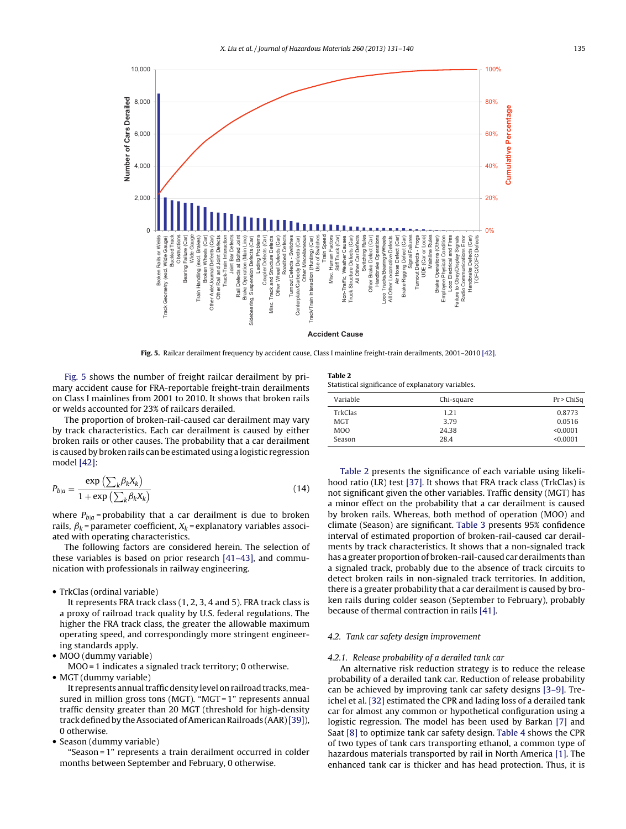

**Fig. 5.** Railcar derailment frequency by accident cause, Class I mainline freight-train derailments, 2001–2010 [\[42\].](#page-9-0)

Fig. 5 shows the number of freight railcar derailment by primary accident cause for FRA-reportable freight-train derailments on Class I mainlines from 2001 to 2010. It shows that broken rails or welds accounted for 23% of railcars derailed.

The proportion of broken-rail-caused car derailment may vary by track characteristics. Each car derailment is caused by either broken rails or other causes. The probability that a car derailment is caused by broken rails can be estimated using a logistic regression model [\[42\]:](#page-9-0)

$$
P_{b|a} = \frac{\exp\left(\sum_{k} \beta_{k} X_{k}\right)}{1 + \exp\left(\sum_{k} \beta_{k} X_{k}\right)}
$$
(14)

where  $P_{b|a}$  = probability that a car derailment is due to broken rails,  $\beta_k$  = parameter coefficient,  $X_k$  = explanatory variables associated with operating characteristics.

The following factors are considered herein. The selection of these variables is based on prior research [\[41–43\],](#page-9-0) and communication with professionals in railway engineering.

• TrkClas (ordinal variable)

It represents FRA track class (1, 2, 3, 4 and 5). FRA track class is a proxy of railroad track quality by U.S. federal regulations. The higher the FRA track class, the greater the allowable maximum operating speed, and correspondingly more stringent engineering standards apply.

• MOO (dummy variable)

MOO = 1 indicates a signaled track territory; 0 otherwise.

• MGT (dummy variable)

It represents annual traffic density level on railroad tracks, measured in million gross tons (MGT). "MGT = 1" represents annual traffic density greater than 20 MGT (threshold for high-density track defined by the Associated of American Railroads (AAR)[\[39\]\),](#page-8-0) 0 otherwise.

• Season (dummy variable)

"Season = 1" represents a train derailment occurred in colder months between September and February, 0 otherwise.

**Table 2** Statistical significance of explanatory variables.

| Variable         | Chi-square | Pr > ChiSq |
|------------------|------------|------------|
| TrkClas          | 1.21       | 0.8773     |
| <b>MGT</b>       | 3.79       | 0.0516     |
| M <sub>O</sub> O | 24.38      | < 0.0001   |
| Season           | 28.4       | < 0.0001   |

Table 2 presents the significance of each variable using likelihood ratio (LR) test [\[37\].](#page-8-0) It shows that FRA track class (TrkClas) is not significant given the other variables. Traffic density (MGT) has a minor effect on the probability that a car derailment is caused by broken rails. Whereas, both method of operation (MOO) and climate (Season) are significant. [Table](#page-5-0) 3 presents 95% confidence interval of estimated proportion of broken-rail-caused car derailments by track characteristics. It shows that a non-signaled track has a greater proportion of broken-rail-caused car derailments than a signaled track, probably due to the absence of track circuits to detect broken rails in non-signaled track territories. In addition, there is a greater probability that a car derailment is caused by broken rails during colder season (September to February), probably because of thermal contraction in rails [\[41\].](#page-9-0)

#### 4.2. Tank car safety design improvement

#### 4.2.1. Release probability of a derailed tank car

An alternative risk reduction strategy is to reduce the release probability of a derailed tank car. Reduction of release probability can be achieved by improving tank car safety designs [\[3–9\].](#page-8-0) Treichel et al. [\[32\]](#page-8-0) estimated the CPR and lading loss of a derailed tank car for almost any common or hypothetical configuration using a logistic regression. The model has been used by Barkan [\[7\]](#page-8-0) and Saat [\[8\]](#page-8-0) to optimize tank car safety design. [Table](#page-5-0) 4 shows the CPR of two types of tank cars transporting ethanol, a common type of hazardous materials transported by rail in North America [\[1\].](#page-8-0) The enhanced tank car is thicker and has head protection. Thus, it is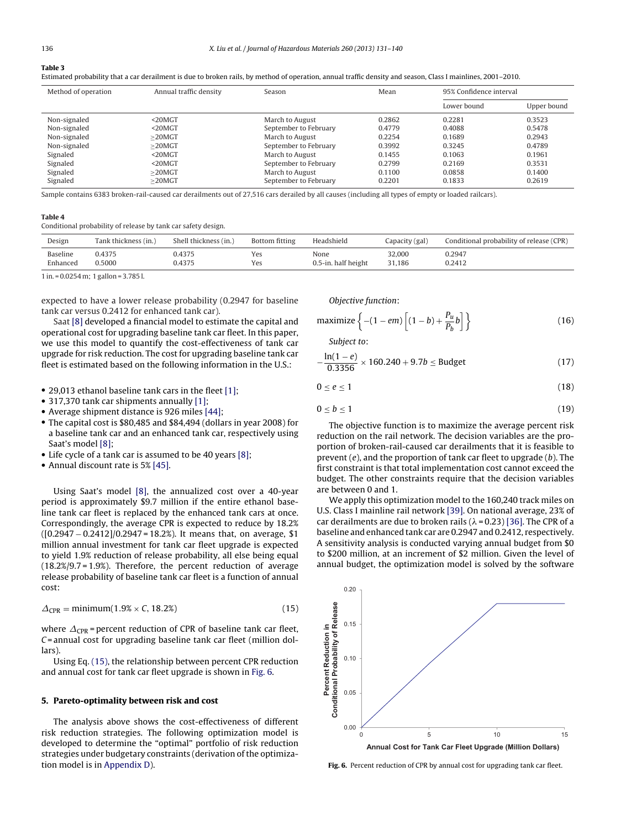#### <span id="page-5-0"></span>**Table 3**

| Estimated probability that a car derailment is due to broken rails, by method of operation, annual traffic density and season, Class I mainlines, 2001–2010 |  |
|-------------------------------------------------------------------------------------------------------------------------------------------------------------|--|
|-------------------------------------------------------------------------------------------------------------------------------------------------------------|--|

| Method of operation | Annual traffic density | Season                | Mean   | 95% Confidence interval |             |
|---------------------|------------------------|-----------------------|--------|-------------------------|-------------|
|                     |                        |                       |        | Lower bound             | Upper bound |
| Non-signaled        | $20MGT$                | March to August       | 0.2862 | 0.2281                  | 0.3523      |
| Non-signaled        | $20MGT$                | September to February | 0.4779 | 0.4088                  | 0.5478      |
| Non-signaled        | $>$ 20MGT              | March to August       | 0.2254 | 0.1689                  | 0.2943      |
| Non-signaled        | $>$ 20MGT              | September to February | 0.3992 | 0.3245                  | 0.4789      |
| Signaled            | $20MGT$                | March to August       | 0.1455 | 0.1063                  | 0.1961      |
| Signaled            | $20MGT$                | September to February | 0.2799 | 0.2169                  | 0.3531      |
| Signaled            | $>$ 20MGT              | March to August       | 0.1100 | 0.0858                  | 0.1400      |
| Signaled            | $>20$ MGT              | September to February | 0.2201 | 0.1833                  | 0.2619      |

Sample contains 6383 broken-rail-caused car derailments out of 27,516 cars derailed by all causes (including all types of empty or loaded railcars).

#### **Table 4**

Conditional probability of release by tank car safety design.

| Design                                  | Tank thickness (in.)                               | Shell thickness (in.) | Bottom fitting | Headshield          | Capacity (gal) | Conditional probability of release (CPR) |
|-----------------------------------------|----------------------------------------------------|-----------------------|----------------|---------------------|----------------|------------------------------------------|
| Baseline                                | 0.4375                                             | 0.4375                | Yes            | None                | 32.000         | 0.2947                                   |
| Enhanced                                | 0.5000                                             | 0.4375                | Yes            | 0.5-in, half height | 31,186         | 0.2412                                   |
| $\sim$ $\sim$ $\sim$ $\sim$ $\sim$<br>. | $\cdots$<br>$\mathbf{a} = \mathbf{a} + \mathbf{b}$ |                       |                |                     |                |                                          |

1 in. = 0.0254 m; 1 gallon = 3.785 l.

expected to have a lower release probability (0.2947 for baseline tank car versus 0.2412 for enhanced tank car).

Saat [\[8\]](#page-8-0) developed a financial model to estimate the capital and operational cost for upgrading baseline tank car fleet. In this paper, we use this model to quantify the cost-effectiveness of tank car upgrade for risk reduction. The cost for upgrading baseline tank car fleet is estimated based on the following information in the U.S.:

- 29,013 ethanol baseline tank cars in the fleet [\[1\];](#page-8-0)
- 317,370 tank car shipments annually [\[1\];](#page-8-0)
- Average shipment distance is 926 miles [\[44\];](#page-9-0)
- The capital cost is \$80,485 and \$84,494 (dollars in year 2008) for a baseline tank car and an enhanced tank car, respectively using Saat's model [\[8\];](#page-8-0)
- Life cycle of a tank car is assumed to be 40 years [\[8\];](#page-8-0)
- Annual discount rate is 5% [\[45\].](#page-9-0)

Using Saat's model [\[8\],](#page-8-0) the annualized cost over a 40-year period is approximately \$9.7 million if the entire ethanol baseline tank car fleet is replaced by the enhanced tank cars at once. Correspondingly, the average CPR is expected to reduce by 18.2% ([0.2947 − 0.2412]/0.2947 = 18.2%). It means that, on average, \$1 million annual investment for tank car fleet upgrade is expected to yield 1.9% reduction of release probability, all else being equal (18.2%/9.7 = 1.9%). Therefore, the percent reduction of average release probability of baseline tank car fleet is a function of annual cost:

$$
\Delta_{\text{CPR}} = \text{minimum}(1.9\% \times C, 18.2\%) \tag{15}
$$

where  $\Delta_{\text{CPR}}$  = percent reduction of CPR of baseline tank car fleet,  $C$  = annual cost for upgrading baseline tank car fleet (million dollars).

Using Eq. (15), the relationship between percent CPR reduction and annual cost for tank car fleet upgrade is shown in Fig. 6.

#### **5. Pareto-optimality between risk and cost**

The analysis above shows the cost-effectiveness of different risk reduction strategies. The following optimization model is developed to determine the "optimal" portfolio of risk reduction strategies under budgetary constraints (derivation of the optimization model is in [Appendix](#page-7-0) [D\).](#page-7-0)

Objective function:

$$
\text{maximize } \left\{ -(1 - em) \left[ (1 - b) + \frac{P_u}{P_b} b \right] \right\} \tag{16}
$$

Subject to:

$$
-\frac{\ln(1-e)}{0.3356} \times 160.240 + 9.7b \le \text{Budget} \tag{17}
$$

$$
0 \le e \le 1 \tag{18}
$$

$$
0 \le b \le 1 \tag{19}
$$

The objective function is to maximize the average percent risk reduction on the rail network. The decision variables are the proportion of broken-rail-caused car derailments that it is feasible to prevent  $(e)$ , and the proportion of tank car fleet to upgrade  $(b)$ . The first constraint is that total implementation cost cannot exceed the budget. The other constraints require that the decision variables are between 0 and 1.

We apply this optimization model to the 160,240 track miles on U.S. Class I mainline rail network [\[39\].](#page-8-0) On national average, 23% of car derailments are due to broken rails ( $\lambda$  = 0.23) [\[36\].](#page-8-0) The CPR of a baseline and enhanced tank car are 0.2947 and 0.2412, respectively. A sensitivity analysis is conducted varying annual budget from \$0 to \$200 million, at an increment of \$2 million. Given the level of annual budget, the optimization model is solved by the software



**Fig. 6.** Percent reduction of CPR by annual cost for upgrading tank car fleet.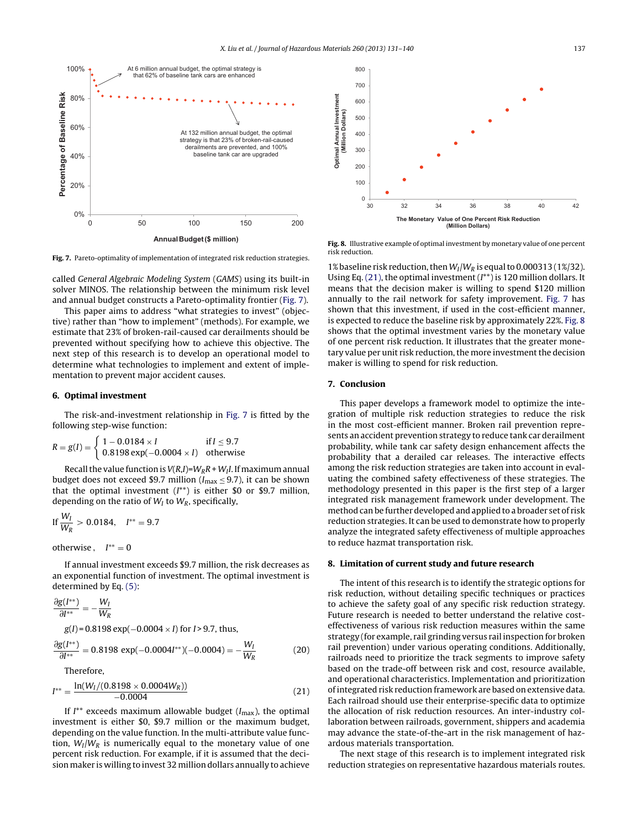



**Fig. 7.** Pareto-optimality of implementation of integrated risk reduction strategies.

called General Algebraic Modeling System (GAMS) using its built-in solver MINOS. The relationship between the minimum risk level and annual budget constructs a Pareto-optimality frontier (Fig. 7).

This paper aims to address "what strategies to invest" (objective) rather than "how to implement" (methods). For example, we estimate that 23% of broken-rail-caused car derailments should be prevented without specifying how to achieve this objective. The next step of this research is to develop an operational model to determine what technologies to implement and extent of implementation to prevent major accident causes.

#### **6. Optimal investment**

The risk-and-investment relationship in Fig. 7 is fitted by the following step-wise function:

$$
R = g(I) = \begin{cases} 1 - 0.0184 \times I & \text{if } I \le 9.7 \\ 0.8198 \exp(-0.0004 \times I) & \text{otherwise} \end{cases}
$$

Recall the value function is  $V(R,I)=W_RR+W_I I$ . If maximum annual budget does not exceed \$9.7 million ( $I_{\text{max}} \leq 9.7$ ), it can be shown that the optimal investment  $(I^{**})$  is either \$0 or \$9.7 million, depending on the ratio of  $W_I$  to  $W_R$ , specifically,

$$
\text{If } \frac{W_I}{W_R} > 0.0184, \quad I^{**} = 9.7
$$

otherwise,  $I^{**} = 0$ 

If annual investment exceeds \$9.7 million, the risk decreases as an exponential function of investment. The optimal investment is determined by Eq. [\(5\):](#page-1-0)

$$
\frac{\partial g(I^{**})}{\partial I^{**}} = -\frac{W_I}{W_R}
$$
  
g(I) = 0.8198 exp(-0.0004 × I) for I > 9.7, thus,  

$$
\frac{\partial g(I^{**})}{\partial I^{**}} = 0.8198 exp(-0.0004I^{**})(-0.0004) = -\frac{W_I}{W_R}
$$
(20)

Therefore,

$$
I^{**} = \frac{\ln(W_I/(0.8198 \times 0.0004W_R))}{-0.0004}
$$
 (21)

If  $I^{**}$  exceeds maximum allowable budget ( $I_{\text{max}}$ ), the optimal investment is either \$0, \$9.7 million or the maximum budget, depending on the value function. In the multi-attribute value function,  $W_I/W_R$  is numerically equal to the monetary value of one percent risk reduction. For example, if it is assumed that the decision maker is willing to invest 32 million dollars annually to achieve

**Fig. 8.** Illustrative example of optimal investment by monetary value of one percent risk reduction.

1% baseline risk reduction, then  $W_I/W_R$  is equal to 0.000313 (1%/32). Using Eq.  $(21)$ , the optimal investment  $(I^{**})$  is 120 million dollars. It means that the decision maker is willing to spend \$120 million annually to the rail network for safety improvement. Fig. 7 has shown that this investment, if used in the cost-efficient manner, is expected to reduce the baseline risk by approximately 22%. Fig. 8 shows that the optimal investment varies by the monetary value of one percent risk reduction. It illustrates that the greater monetary value per unit risk reduction, the more investment the decision maker is willing to spend for risk reduction.

#### **7. Conclusion**

This paper develops a framework model to optimize the integration of multiple risk reduction strategies to reduce the risk in the most cost-efficient manner. Broken rail prevention represents an accident prevention strategy to reduce tank car derailment probability, while tank car safety design enhancement affects the probability that a derailed car releases. The interactive effects among the risk reduction strategies are taken into account in evaluating the combined safety effectiveness of these strategies. The methodology presented in this paper is the first step of a larger integrated risk management framework under development. The method can be further developed and applied to a broader set of risk reduction strategies. It can be used to demonstrate how to properly analyze the integrated safety effectiveness of multiple approaches to reduce hazmat transportation risk.

#### **8. Limitation of current study and future research**

The intent of this research is to identify the strategic options for risk reduction, without detailing specific techniques or practices to achieve the safety goal of any specific risk reduction strategy. Future research is needed to better understand the relative costeffectiveness of various risk reduction measures within the same strategy (for example, rail grinding versus rail inspection for broken rail prevention) under various operating conditions. Additionally, railroads need to prioritize the track segments to improve safety based on the trade-off between risk and cost, resource available, and operational characteristics. Implementation and prioritization ofintegrated risk reduction framework are based on extensive data. Each railroad should use their enterprise-specific data to optimize the allocation of risk reduction resources. An inter-industry collaboration between railroads, government, shippers and academia may advance the state-of-the-art in the risk management of hazardous materials transportation.

The next stage of this research is to implement integrated risk reduction strategies on representative hazardous materials routes.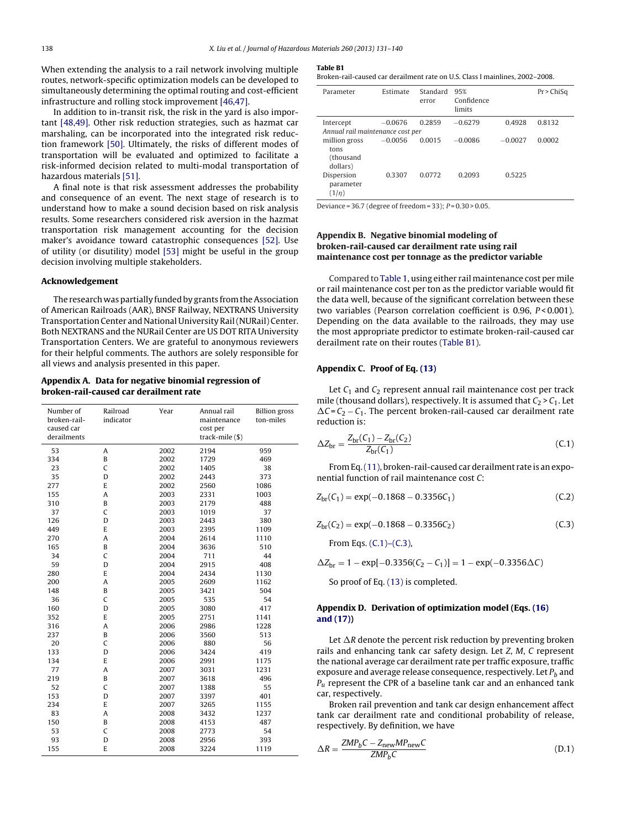<span id="page-7-0"></span>When extending the analysis to a rail network involving multiple routes, network-specific optimization models can be developed to simultaneously determining the optimal routing and cost-efficient infrastructure and rolling stock improvement [\[46,47\].](#page-9-0)

In addition to in-transit risk, the risk in the yard is also important [\[48,49\].](#page-9-0) Other risk reduction strategies, such as hazmat car marshaling, can be incorporated into the integrated risk reduction framework [\[50\].](#page-9-0) Ultimately, the risks of different modes of transportation will be evaluated and optimized to facilitate a risk-informed decision related to multi-modal transportation of hazardous materials [\[51\].](#page-9-0)

A final note is that risk assessment addresses the probability and consequence of an event. The next stage of research is to understand how to make a sound decision based on risk analysis results. Some researchers considered risk aversion in the hazmat transportation risk management accounting for the decision maker's avoidance toward catastrophic consequences [\[52\].](#page-9-0) Use of utility (or disutility) model [\[53\]](#page-9-0) might be useful in the group decision involving multiple stakeholders.

#### **Acknowledgement**

The research was partially funded by grants from the Association of American Railroads (AAR), BNSF Railway, NEXTRANS University Transportation Center and National University Rail(NURail) Center. Both NEXTRANS and the NURail Center are US DOT RITA University Transportation Centers. We are grateful to anonymous reviewers for their helpful comments. The authors are solely responsible for all views and analysis presented in this paper.

### **Appendix A. Data for negative binomial regression of broken-rail-caused car derailment rate**

| Number of<br>broken-rail-<br>caused car<br>derailments | Railroad<br>indicator | Year | Annual rail<br>maintenance<br>cost per<br>track-mile (\$) | <b>Billion</b> gross<br>ton-miles |
|--------------------------------------------------------|-----------------------|------|-----------------------------------------------------------|-----------------------------------|
| 53                                                     | Α                     | 2002 | 2194                                                      | 959                               |
| 334                                                    | B                     | 2002 | 1729                                                      | 469                               |
| 23                                                     | C                     | 2002 | 1405                                                      | 38                                |
| 35                                                     | D                     | 2002 | 2443                                                      | 373                               |
| 277                                                    | E                     | 2002 | 2560                                                      | 1086                              |
| 155                                                    | A                     | 2003 | 2331                                                      | 1003                              |
| 310                                                    | B                     | 2003 | 2179                                                      | 488                               |
| 37                                                     | C                     | 2003 | 1019                                                      | 37                                |
| 126                                                    | D                     | 2003 | 2443                                                      | 380                               |
| 449                                                    | E                     | 2003 | 2395                                                      | 1109                              |
| 270                                                    | A                     | 2004 | 2614                                                      | 1110                              |
| 165                                                    | B                     | 2004 | 3636                                                      | 510                               |
| 34                                                     | C                     | 2004 | 711                                                       | 44                                |
| 59                                                     | D                     | 2004 | 2915                                                      | 408                               |
| 280                                                    | E                     | 2004 | 2434                                                      | 1130                              |
| 200                                                    | A                     | 2005 | 2609                                                      | 1162                              |
| 148                                                    | B                     | 2005 | 3421                                                      | 504                               |
| 36                                                     | C                     | 2005 | 535                                                       | 54                                |
| 160                                                    | D                     | 2005 | 3080                                                      | 417                               |
| 352                                                    | E                     | 2005 | 2751                                                      | 1141                              |
| 316                                                    | A                     | 2006 | 2986                                                      | 1228                              |
| 237                                                    | B                     | 2006 | 3560                                                      | 513                               |
| 20                                                     | C                     | 2006 | 880                                                       | 56                                |
| 133                                                    | D                     | 2006 | 3424                                                      | 419                               |
| 134                                                    | E                     | 2006 | 2991                                                      | 1175                              |
| 77                                                     | Α                     | 2007 | 3031                                                      | 1231                              |
| 219                                                    | B                     | 2007 | 3618                                                      | 496                               |
| 52                                                     | C                     | 2007 | 1388                                                      | 55                                |
| 153                                                    | D                     | 2007 | 3397                                                      | 401                               |
| 234                                                    | E                     | 2007 | 3265                                                      | 1155                              |
| 83                                                     | A                     | 2008 | 3432                                                      | 1237                              |
| 150                                                    | B                     | 2008 | 4153                                                      | 487                               |
| 53                                                     | C                     | 2008 | 2773                                                      | 54                                |
| 93                                                     | D                     | 2008 | 2956                                                      | 393                               |
| 155                                                    | E                     | 2008 | 3224                                                      | 1119                              |

#### **Table B1**

Broken-rail-caused car derailment rate on U.S. Class I mainlines, 2002–2008.

| Parameter                        | Estimate  | Standard<br>error | 95%<br>Confidence<br>limits |           | $Pr$ > ChiSq |
|----------------------------------|-----------|-------------------|-----------------------------|-----------|--------------|
| Intercept                        | $-0.0676$ | 0.2859            | $-0.6279$                   | 0.4928    | 0.8132       |
| Annual rail maintenance cost per |           |                   |                             |           |              |
| million gross                    | $-0.0056$ | 0.0015            | $-0.0086$                   | $-0.0027$ | 0.0002       |
| tons                             |           |                   |                             |           |              |
| (thousand                        |           |                   |                             |           |              |
| dollars)                         |           |                   |                             |           |              |
| Dispersion                       | 0.3307    | 0.0772            | 0.2093                      | 0.5225    |              |
| parameter                        |           |                   |                             |           |              |
| (1/n)                            |           |                   |                             |           |              |

Deviance =  $36.7$  (degree of freedom =  $33$ );  $P = 0.30 > 0.05$ .

#### **Appendix B. Negative binomial modeling of broken-rail-caused car derailment rate using rail maintenance cost per tonnage as the predictor variable**

Compared to [Table](#page-3-0) 1, using either rail maintenance cost per mile or rail maintenance cost per ton as the predictor variable would fit the data well, because of the significant correlation between these two variables (Pearson correlation coefficient is 0.96, P<0.001). Depending on the data available to the railroads, they may use the most appropriate predictor to estimate broken-rail-caused car derailment rate on their routes (Table B1).

#### **Appendix C. Proof of Eq. [\(13\)](#page-3-0)**

Let  $C_1$  and  $C_2$  represent annual rail maintenance cost per track mile (thousand dollars), respectively. It is assumed that  $C_2 > C_1$ . Let  $\Delta C = C_2 - C_1$ . The percent broken-rail-caused car derailment rate reduction is:

$$
\Delta Z_{\rm br} = \frac{Z_{\rm br}(C_1) - Z_{\rm br}(C_2)}{Z_{\rm br}(C_1)}\tag{C.1}
$$

FromEq.[\(11\),](#page-2-0) broken-rail-caused car derailment rate is an exponential function of rail maintenance cost C:

$$
Z_{\text{br}}(C_1) = \exp(-0.1868 - 0.3356C_1)
$$
 (C.2)

$$
Z_{\rm br}(C_2) = \exp(-0.1868 - 0.3356C_2)
$$
 (C.3)

From Eqs. (C.1)–(C.3),

 $\Delta Z_{\rm br} = 1 - \exp[-0.3356(C_2 - C_1)] = 1 - \exp(-0.3356 \Delta C)$ 

So proof of Eq. [\(13\)](#page-3-0) is completed.

#### **Appendix D. Derivation of optimization model (Eqs. [\(16\)](#page-5-0) [and](#page-5-0) [\(17\)\)](#page-5-0)**

Let  $\Delta R$  denote the percent risk reduction by preventing broken rails and enhancing tank car safety design. Let Z, M, C represent the national average car derailment rate per traffic exposure, traffic exposure and average release consequence, respectively. Let  $P_b$  and  $P_u$  represent the CPR of a baseline tank car and an enhanced tank car, respectively.

Broken rail prevention and tank car design enhancement affect tank car derailment rate and conditional probability of release, respectively. By definition, we have

$$
\Delta R = \frac{ZMP_bC - Z_{\text{new}}MP_{\text{new}}C}{ZMP_bC} \tag{D.1}
$$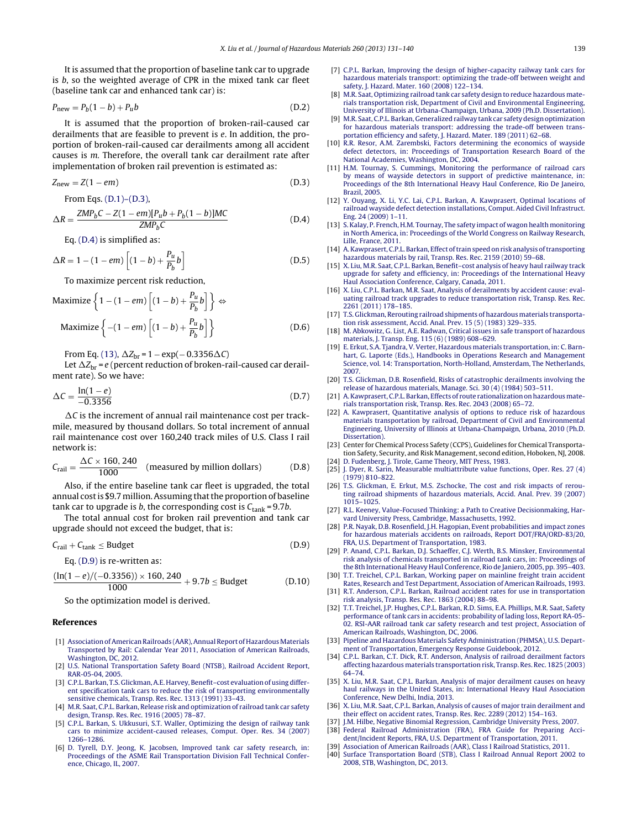<span id="page-8-0"></span>It is assumed that the proportion of baseline tank car to upgrade is b, so the weighted average of CPR in the mixed tank car fleet (baseline tank car and enhanced tank car) is:

$$
P_{\text{new}} = P_b(1-b) + P_u b \tag{D.2}
$$

It is assumed that the proportion of broken-rail-caused car derailments that are feasible to prevent is e. In addition, the proportion of broken-rail-caused car derailments among all accident causes is m. Therefore, the overall tank car derailment rate after implementation of broken rail prevention is estimated as:

$$
Z_{\text{new}} = Z(1 - em) \tag{D.3}
$$

From Eqs. [\(D.1\)–\(D.3\),](#page-7-0)

$$
\Delta R = \frac{ZMP_bC - Z(1 - em)[P_u b + P_b(1 - b)]MC}{ZMP_bC}
$$
 (D.4)

Eq. (D.4) is simplified as:

$$
\Delta R = 1 - (1 - em) \left[ (1 - b) + \frac{P_u}{P_b} b \right]
$$
 (D.5)

To maximize percent risk reduction,

$$
\text{Maximize } \left\{ 1 - (1 - em) \left[ (1 - b) + \frac{P_u}{P_b} b \right] \right\} \Leftrightarrow
$$
\n
$$
\text{Maximize } \left\{ -(1 - em) \left[ (1 - b) + \frac{P_u}{P_b} b \right] \right\} \tag{D.6}
$$

From Eq. [\(13\),](#page-3-0)  $\Delta Z_{\text{br}} = 1 - \exp(-0.3356 \Delta C)$ 

Let  $\Delta Z_{\rm br}$  = e (percent reduction of broken-rail-caused car derailment rate). So we have:

$$
\Delta C = \frac{\ln(1 - e)}{-0.3356}
$$
 (D.7)

 $\Delta C$  is the increment of annual rail maintenance cost per trackmile, measured by thousand dollars. So total increment of annual rail maintenance cost over 160,240 track miles of U.S. Class I rail network is:

$$
C_{\text{tail}} = \frac{\Delta C \times 160,240}{1000} \quad \text{(measured by million dollars)} \tag{D.8}
$$

Also, if the entire baseline tank car fleet is upgraded, the total annual cost is \$9.7 million. Assuming that the proportion of baseline tank car to upgrade is b, the corresponding cost is  $C_{\text{tank}} = 9.7b$ .

The total annual cost for broken rail prevention and tank car upgrade should not exceed the budget, that is:

$$
C_{\text{tail}} + C_{\text{tank}} \le \text{Budget} \tag{D.9}
$$

Eq. (D.9) is re-written as:

$$
\frac{(\ln(1-e)/(-0.3356)) \times 160, 240}{1000} + 9.7b \leq \text{Budget} \tag{D.10}
$$

So the optimization model is derived.

#### **References**

- [1] [Association](http://refhub.elsevier.com/S0304-3894(13)00318-X/sbref0005) [of](http://refhub.elsevier.com/S0304-3894(13)00318-X/sbref0005) American Railroads (AAR), Annual Report of Hazardous Materials [Transported](http://refhub.elsevier.com/S0304-3894(13)00318-X/sbref0005) [by](http://refhub.elsevier.com/S0304-3894(13)00318-X/sbref0005) [Rail:](http://refhub.elsevier.com/S0304-3894(13)00318-X/sbref0005) [Calendar](http://refhub.elsevier.com/S0304-3894(13)00318-X/sbref0005) [Year](http://refhub.elsevier.com/S0304-3894(13)00318-X/sbref0005) [2011,](http://refhub.elsevier.com/S0304-3894(13)00318-X/sbref0005) [Association](http://refhub.elsevier.com/S0304-3894(13)00318-X/sbref0005) [of](http://refhub.elsevier.com/S0304-3894(13)00318-X/sbref0005) [American](http://refhub.elsevier.com/S0304-3894(13)00318-X/sbref0005) [Railroads,](http://refhub.elsevier.com/S0304-3894(13)00318-X/sbref0005) [Washington,](http://refhub.elsevier.com/S0304-3894(13)00318-X/sbref0005) [DC,](http://refhub.elsevier.com/S0304-3894(13)00318-X/sbref0005) [2012.](http://refhub.elsevier.com/S0304-3894(13)00318-X/sbref0005)
- [2] [U.S.](http://refhub.elsevier.com/S0304-3894(13)00318-X/sbref0010) [National](http://refhub.elsevier.com/S0304-3894(13)00318-X/sbref0010) [Transportation](http://refhub.elsevier.com/S0304-3894(13)00318-X/sbref0010) [Safety](http://refhub.elsevier.com/S0304-3894(13)00318-X/sbref0010) [Board](http://refhub.elsevier.com/S0304-3894(13)00318-X/sbref0010) [\(NTSB\),](http://refhub.elsevier.com/S0304-3894(13)00318-X/sbref0010) [Railroad](http://refhub.elsevier.com/S0304-3894(13)00318-X/sbref0010) [Accident](http://refhub.elsevier.com/S0304-3894(13)00318-X/sbref0010) [Report,](http://refhub.elsevier.com/S0304-3894(13)00318-X/sbref0010) [RAR-05-04,](http://refhub.elsevier.com/S0304-3894(13)00318-X/sbref0010) [2005.](http://refhub.elsevier.com/S0304-3894(13)00318-X/sbref0010)
- [3] [C.P.L.](http://refhub.elsevier.com/S0304-3894(13)00318-X/sbref0015) [Barkan,](http://refhub.elsevier.com/S0304-3894(13)00318-X/sbref0015) [T.S.](http://refhub.elsevier.com/S0304-3894(13)00318-X/sbref0015) Glickman, A.E. [Harvey,](http://refhub.elsevier.com/S0304-3894(13)00318-X/sbref0015) Benefit-cost [evaluation](http://refhub.elsevier.com/S0304-3894(13)00318-X/sbref0015) [of](http://refhub.elsevier.com/S0304-3894(13)00318-X/sbref0015) [using](http://refhub.elsevier.com/S0304-3894(13)00318-X/sbref0015) [differ](http://refhub.elsevier.com/S0304-3894(13)00318-X/sbref0015)[ent](http://refhub.elsevier.com/S0304-3894(13)00318-X/sbref0015) [specification](http://refhub.elsevier.com/S0304-3894(13)00318-X/sbref0015) [tank](http://refhub.elsevier.com/S0304-3894(13)00318-X/sbref0015) [cars](http://refhub.elsevier.com/S0304-3894(13)00318-X/sbref0015) [to](http://refhub.elsevier.com/S0304-3894(13)00318-X/sbref0015) [reduce](http://refhub.elsevier.com/S0304-3894(13)00318-X/sbref0015) [the](http://refhub.elsevier.com/S0304-3894(13)00318-X/sbref0015) [risk](http://refhub.elsevier.com/S0304-3894(13)00318-X/sbref0015) [of](http://refhub.elsevier.com/S0304-3894(13)00318-X/sbref0015) [transporting](http://refhub.elsevier.com/S0304-3894(13)00318-X/sbref0015) [environmentally](http://refhub.elsevier.com/S0304-3894(13)00318-X/sbref0015) [sensitive](http://refhub.elsevier.com/S0304-3894(13)00318-X/sbref0015) [chemicals,](http://refhub.elsevier.com/S0304-3894(13)00318-X/sbref0015) [Transp.](http://refhub.elsevier.com/S0304-3894(13)00318-X/sbref0015) [Res.](http://refhub.elsevier.com/S0304-3894(13)00318-X/sbref0015) [Rec.](http://refhub.elsevier.com/S0304-3894(13)00318-X/sbref0015) [1313](http://refhub.elsevier.com/S0304-3894(13)00318-X/sbref0015) [\(1991\)](http://refhub.elsevier.com/S0304-3894(13)00318-X/sbref0015) [33–43.](http://refhub.elsevier.com/S0304-3894(13)00318-X/sbref0015)
- [4] [M.R.](http://refhub.elsevier.com/S0304-3894(13)00318-X/sbref0020) [Saat,](http://refhub.elsevier.com/S0304-3894(13)00318-X/sbref0020) [C.P.L.](http://refhub.elsevier.com/S0304-3894(13)00318-X/sbref0020) [Barkan,](http://refhub.elsevier.com/S0304-3894(13)00318-X/sbref0020) [Release](http://refhub.elsevier.com/S0304-3894(13)00318-X/sbref0020) [risk](http://refhub.elsevier.com/S0304-3894(13)00318-X/sbref0020) [and](http://refhub.elsevier.com/S0304-3894(13)00318-X/sbref0020) [optimization](http://refhub.elsevier.com/S0304-3894(13)00318-X/sbref0020) [of](http://refhub.elsevier.com/S0304-3894(13)00318-X/sbref0020) [railroad](http://refhub.elsevier.com/S0304-3894(13)00318-X/sbref0020) [tank](http://refhub.elsevier.com/S0304-3894(13)00318-X/sbref0020) [car](http://refhub.elsevier.com/S0304-3894(13)00318-X/sbref0020) [safety](http://refhub.elsevier.com/S0304-3894(13)00318-X/sbref0020) [design,](http://refhub.elsevier.com/S0304-3894(13)00318-X/sbref0020) [Transp.](http://refhub.elsevier.com/S0304-3894(13)00318-X/sbref0020) [Res.](http://refhub.elsevier.com/S0304-3894(13)00318-X/sbref0020) [Rec.](http://refhub.elsevier.com/S0304-3894(13)00318-X/sbref0020) [1916](http://refhub.elsevier.com/S0304-3894(13)00318-X/sbref0020) [\(2005\)](http://refhub.elsevier.com/S0304-3894(13)00318-X/sbref0020) [78](http://refhub.elsevier.com/S0304-3894(13)00318-X/sbref0020)–[87.](http://refhub.elsevier.com/S0304-3894(13)00318-X/sbref0020)
- [5] [C.P.L.](http://refhub.elsevier.com/S0304-3894(13)00318-X/sbref0025) [Barkan,](http://refhub.elsevier.com/S0304-3894(13)00318-X/sbref0025) [S.](http://refhub.elsevier.com/S0304-3894(13)00318-X/sbref0025) [Ukkusuri,](http://refhub.elsevier.com/S0304-3894(13)00318-X/sbref0025) [S.T.](http://refhub.elsevier.com/S0304-3894(13)00318-X/sbref0025) [Waller,](http://refhub.elsevier.com/S0304-3894(13)00318-X/sbref0025) [Optimizing](http://refhub.elsevier.com/S0304-3894(13)00318-X/sbref0025) [the](http://refhub.elsevier.com/S0304-3894(13)00318-X/sbref0025) [design](http://refhub.elsevier.com/S0304-3894(13)00318-X/sbref0025) [of](http://refhub.elsevier.com/S0304-3894(13)00318-X/sbref0025) [railway](http://refhub.elsevier.com/S0304-3894(13)00318-X/sbref0025) [tank](http://refhub.elsevier.com/S0304-3894(13)00318-X/sbref0025) [cars](http://refhub.elsevier.com/S0304-3894(13)00318-X/sbref0025) [to](http://refhub.elsevier.com/S0304-3894(13)00318-X/sbref0025) [minimize](http://refhub.elsevier.com/S0304-3894(13)00318-X/sbref0025) [accident-caused](http://refhub.elsevier.com/S0304-3894(13)00318-X/sbref0025) [releases,](http://refhub.elsevier.com/S0304-3894(13)00318-X/sbref0025) [Comput.](http://refhub.elsevier.com/S0304-3894(13)00318-X/sbref0025) [Oper.](http://refhub.elsevier.com/S0304-3894(13)00318-X/sbref0025) [Res.](http://refhub.elsevier.com/S0304-3894(13)00318-X/sbref0025) [34](http://refhub.elsevier.com/S0304-3894(13)00318-X/sbref0025) [\(2007\)](http://refhub.elsevier.com/S0304-3894(13)00318-X/sbref0025) [1266–1286.](http://refhub.elsevier.com/S0304-3894(13)00318-X/sbref0025)
- [6] [D.](http://refhub.elsevier.com/S0304-3894(13)00318-X/sbref0030) [Tyrell,](http://refhub.elsevier.com/S0304-3894(13)00318-X/sbref0030) [D.Y.](http://refhub.elsevier.com/S0304-3894(13)00318-X/sbref0030) [Jeong,](http://refhub.elsevier.com/S0304-3894(13)00318-X/sbref0030) [K.](http://refhub.elsevier.com/S0304-3894(13)00318-X/sbref0030) [Jacobsen,](http://refhub.elsevier.com/S0304-3894(13)00318-X/sbref0030) [Improved](http://refhub.elsevier.com/S0304-3894(13)00318-X/sbref0030) [tank](http://refhub.elsevier.com/S0304-3894(13)00318-X/sbref0030) [car](http://refhub.elsevier.com/S0304-3894(13)00318-X/sbref0030) [safety](http://refhub.elsevier.com/S0304-3894(13)00318-X/sbref0030) [research,](http://refhub.elsevier.com/S0304-3894(13)00318-X/sbref0030) [in:](http://refhub.elsevier.com/S0304-3894(13)00318-X/sbref0030) [Proceedings](http://refhub.elsevier.com/S0304-3894(13)00318-X/sbref0030) [of](http://refhub.elsevier.com/S0304-3894(13)00318-X/sbref0030) [the](http://refhub.elsevier.com/S0304-3894(13)00318-X/sbref0030) [ASME](http://refhub.elsevier.com/S0304-3894(13)00318-X/sbref0030) [Rail](http://refhub.elsevier.com/S0304-3894(13)00318-X/sbref0030) [Transportation](http://refhub.elsevier.com/S0304-3894(13)00318-X/sbref0030) [Division](http://refhub.elsevier.com/S0304-3894(13)00318-X/sbref0030) [Fall](http://refhub.elsevier.com/S0304-3894(13)00318-X/sbref0030) [Technical](http://refhub.elsevier.com/S0304-3894(13)00318-X/sbref0030) [Confer](http://refhub.elsevier.com/S0304-3894(13)00318-X/sbref0030)[ence,](http://refhub.elsevier.com/S0304-3894(13)00318-X/sbref0030) [Chicago,](http://refhub.elsevier.com/S0304-3894(13)00318-X/sbref0030) [IL,](http://refhub.elsevier.com/S0304-3894(13)00318-X/sbref0030) [2007.](http://refhub.elsevier.com/S0304-3894(13)00318-X/sbref0030)
- [7] [C.P.L.](http://refhub.elsevier.com/S0304-3894(13)00318-X/sbref0035) [Barkan,](http://refhub.elsevier.com/S0304-3894(13)00318-X/sbref0035) [Improving](http://refhub.elsevier.com/S0304-3894(13)00318-X/sbref0035) [the](http://refhub.elsevier.com/S0304-3894(13)00318-X/sbref0035) [design](http://refhub.elsevier.com/S0304-3894(13)00318-X/sbref0035) [of](http://refhub.elsevier.com/S0304-3894(13)00318-X/sbref0035) [higher-capacity](http://refhub.elsevier.com/S0304-3894(13)00318-X/sbref0035) [railway](http://refhub.elsevier.com/S0304-3894(13)00318-X/sbref0035) [tank](http://refhub.elsevier.com/S0304-3894(13)00318-X/sbref0035) [cars](http://refhub.elsevier.com/S0304-3894(13)00318-X/sbref0035) [for](http://refhub.elsevier.com/S0304-3894(13)00318-X/sbref0035) [hazardous](http://refhub.elsevier.com/S0304-3894(13)00318-X/sbref0035) [materials](http://refhub.elsevier.com/S0304-3894(13)00318-X/sbref0035) [transport:](http://refhub.elsevier.com/S0304-3894(13)00318-X/sbref0035) [optimizing](http://refhub.elsevier.com/S0304-3894(13)00318-X/sbref0035) [the](http://refhub.elsevier.com/S0304-3894(13)00318-X/sbref0035) [trade-off](http://refhub.elsevier.com/S0304-3894(13)00318-X/sbref0035) [between](http://refhub.elsevier.com/S0304-3894(13)00318-X/sbref0035) [weight](http://refhub.elsevier.com/S0304-3894(13)00318-X/sbref0035) [and](http://refhub.elsevier.com/S0304-3894(13)00318-X/sbref0035) [safety,](http://refhub.elsevier.com/S0304-3894(13)00318-X/sbref0035) [J.](http://refhub.elsevier.com/S0304-3894(13)00318-X/sbref0035) [Hazard.](http://refhub.elsevier.com/S0304-3894(13)00318-X/sbref0035) [Mater.](http://refhub.elsevier.com/S0304-3894(13)00318-X/sbref0035) [160](http://refhub.elsevier.com/S0304-3894(13)00318-X/sbref0035) [\(2008\)](http://refhub.elsevier.com/S0304-3894(13)00318-X/sbref0035) [122](http://refhub.elsevier.com/S0304-3894(13)00318-X/sbref0035)–[134.](http://refhub.elsevier.com/S0304-3894(13)00318-X/sbref0035)
- [8] [M.R.](http://refhub.elsevier.com/S0304-3894(13)00318-X/sbref0040) [Saat,](http://refhub.elsevier.com/S0304-3894(13)00318-X/sbref0040) [Optimizing](http://refhub.elsevier.com/S0304-3894(13)00318-X/sbref0040) [railroad](http://refhub.elsevier.com/S0304-3894(13)00318-X/sbref0040) [tank](http://refhub.elsevier.com/S0304-3894(13)00318-X/sbref0040) [car](http://refhub.elsevier.com/S0304-3894(13)00318-X/sbref0040) [safety](http://refhub.elsevier.com/S0304-3894(13)00318-X/sbref0040) [design](http://refhub.elsevier.com/S0304-3894(13)00318-X/sbref0040) [to](http://refhub.elsevier.com/S0304-3894(13)00318-X/sbref0040) [reduce](http://refhub.elsevier.com/S0304-3894(13)00318-X/sbref0040) [hazardous](http://refhub.elsevier.com/S0304-3894(13)00318-X/sbref0040) [mate](http://refhub.elsevier.com/S0304-3894(13)00318-X/sbref0040)[rials](http://refhub.elsevier.com/S0304-3894(13)00318-X/sbref0040) [transportation](http://refhub.elsevier.com/S0304-3894(13)00318-X/sbref0040) [risk,](http://refhub.elsevier.com/S0304-3894(13)00318-X/sbref0040) [Department](http://refhub.elsevier.com/S0304-3894(13)00318-X/sbref0040) [of](http://refhub.elsevier.com/S0304-3894(13)00318-X/sbref0040) [Civil](http://refhub.elsevier.com/S0304-3894(13)00318-X/sbref0040) [and](http://refhub.elsevier.com/S0304-3894(13)00318-X/sbref0040) [Environmental](http://refhub.elsevier.com/S0304-3894(13)00318-X/sbref0040) [Engineering,](http://refhub.elsevier.com/S0304-3894(13)00318-X/sbref0040) [University](http://refhub.elsevier.com/S0304-3894(13)00318-X/sbref0040) [of](http://refhub.elsevier.com/S0304-3894(13)00318-X/sbref0040) [Illinois](http://refhub.elsevier.com/S0304-3894(13)00318-X/sbref0040) [at](http://refhub.elsevier.com/S0304-3894(13)00318-X/sbref0040) [Urbana-Champaign,](http://refhub.elsevier.com/S0304-3894(13)00318-X/sbref0040) [Urbana,](http://refhub.elsevier.com/S0304-3894(13)00318-X/sbref0040) [2009](http://refhub.elsevier.com/S0304-3894(13)00318-X/sbref0040) [\(Ph.D.](http://refhub.elsevier.com/S0304-3894(13)00318-X/sbref0040) [Dissertation\).](http://refhub.elsevier.com/S0304-3894(13)00318-X/sbref0040)
- [9] [M.R.](http://refhub.elsevier.com/S0304-3894(13)00318-X/sbref0045) [Saat,](http://refhub.elsevier.com/S0304-3894(13)00318-X/sbref0045) [C.P.L.](http://refhub.elsevier.com/S0304-3894(13)00318-X/sbref0045) [Barkan,](http://refhub.elsevier.com/S0304-3894(13)00318-X/sbref0045) [Generalized](http://refhub.elsevier.com/S0304-3894(13)00318-X/sbref0045) [railway](http://refhub.elsevier.com/S0304-3894(13)00318-X/sbref0045) [tank](http://refhub.elsevier.com/S0304-3894(13)00318-X/sbref0045) [car](http://refhub.elsevier.com/S0304-3894(13)00318-X/sbref0045) [safety](http://refhub.elsevier.com/S0304-3894(13)00318-X/sbref0045) [design](http://refhub.elsevier.com/S0304-3894(13)00318-X/sbref0045) [optimization](http://refhub.elsevier.com/S0304-3894(13)00318-X/sbref0045) [for](http://refhub.elsevier.com/S0304-3894(13)00318-X/sbref0045) [hazardous](http://refhub.elsevier.com/S0304-3894(13)00318-X/sbref0045) [materials](http://refhub.elsevier.com/S0304-3894(13)00318-X/sbref0045) [transport:](http://refhub.elsevier.com/S0304-3894(13)00318-X/sbref0045) [addressing](http://refhub.elsevier.com/S0304-3894(13)00318-X/sbref0045) [the](http://refhub.elsevier.com/S0304-3894(13)00318-X/sbref0045) [trade-off](http://refhub.elsevier.com/S0304-3894(13)00318-X/sbref0045) [between](http://refhub.elsevier.com/S0304-3894(13)00318-X/sbref0045) [trans](http://refhub.elsevier.com/S0304-3894(13)00318-X/sbref0045)[portation](http://refhub.elsevier.com/S0304-3894(13)00318-X/sbref0045) [efficiency](http://refhub.elsevier.com/S0304-3894(13)00318-X/sbref0045) [and](http://refhub.elsevier.com/S0304-3894(13)00318-X/sbref0045) [safety,](http://refhub.elsevier.com/S0304-3894(13)00318-X/sbref0045) [J.](http://refhub.elsevier.com/S0304-3894(13)00318-X/sbref0045) [Hazard.](http://refhub.elsevier.com/S0304-3894(13)00318-X/sbref0045) [Mater.](http://refhub.elsevier.com/S0304-3894(13)00318-X/sbref0045) [189](http://refhub.elsevier.com/S0304-3894(13)00318-X/sbref0045) [\(2011\)](http://refhub.elsevier.com/S0304-3894(13)00318-X/sbref0045) [62](http://refhub.elsevier.com/S0304-3894(13)00318-X/sbref0045)–[68.](http://refhub.elsevier.com/S0304-3894(13)00318-X/sbref0045)
- [10] [R.R.](http://refhub.elsevier.com/S0304-3894(13)00318-X/sbref0050) [Resor,](http://refhub.elsevier.com/S0304-3894(13)00318-X/sbref0050) [A.M.](http://refhub.elsevier.com/S0304-3894(13)00318-X/sbref0050) [Zarembski,](http://refhub.elsevier.com/S0304-3894(13)00318-X/sbref0050) [Factors](http://refhub.elsevier.com/S0304-3894(13)00318-X/sbref0050) [determining](http://refhub.elsevier.com/S0304-3894(13)00318-X/sbref0050) [the](http://refhub.elsevier.com/S0304-3894(13)00318-X/sbref0050) [economics](http://refhub.elsevier.com/S0304-3894(13)00318-X/sbref0050) [of](http://refhub.elsevier.com/S0304-3894(13)00318-X/sbref0050) [wayside](http://refhub.elsevier.com/S0304-3894(13)00318-X/sbref0050) [defect](http://refhub.elsevier.com/S0304-3894(13)00318-X/sbref0050) [detectors,](http://refhub.elsevier.com/S0304-3894(13)00318-X/sbref0050) [in:](http://refhub.elsevier.com/S0304-3894(13)00318-X/sbref0050) [Proceedings](http://refhub.elsevier.com/S0304-3894(13)00318-X/sbref0050) [of](http://refhub.elsevier.com/S0304-3894(13)00318-X/sbref0050) [Transportation](http://refhub.elsevier.com/S0304-3894(13)00318-X/sbref0050) [Research](http://refhub.elsevier.com/S0304-3894(13)00318-X/sbref0050) [Board](http://refhub.elsevier.com/S0304-3894(13)00318-X/sbref0050) [of](http://refhub.elsevier.com/S0304-3894(13)00318-X/sbref0050) [the](http://refhub.elsevier.com/S0304-3894(13)00318-X/sbref0050) [National](http://refhub.elsevier.com/S0304-3894(13)00318-X/sbref0050) [Academies,](http://refhub.elsevier.com/S0304-3894(13)00318-X/sbref0050) [Washington,](http://refhub.elsevier.com/S0304-3894(13)00318-X/sbref0050) [DC,](http://refhub.elsevier.com/S0304-3894(13)00318-X/sbref0050) [2004.](http://refhub.elsevier.com/S0304-3894(13)00318-X/sbref0050)
- [11] [H.M.](http://refhub.elsevier.com/S0304-3894(13)00318-X/sbref0055) [Tournay,](http://refhub.elsevier.com/S0304-3894(13)00318-X/sbref0055) [S.](http://refhub.elsevier.com/S0304-3894(13)00318-X/sbref0055) [Cummings,](http://refhub.elsevier.com/S0304-3894(13)00318-X/sbref0055) [Monitoring](http://refhub.elsevier.com/S0304-3894(13)00318-X/sbref0055) [the](http://refhub.elsevier.com/S0304-3894(13)00318-X/sbref0055) [performance](http://refhub.elsevier.com/S0304-3894(13)00318-X/sbref0055) [of](http://refhub.elsevier.com/S0304-3894(13)00318-X/sbref0055) [railroad](http://refhub.elsevier.com/S0304-3894(13)00318-X/sbref0055) [cars](http://refhub.elsevier.com/S0304-3894(13)00318-X/sbref0055) [by](http://refhub.elsevier.com/S0304-3894(13)00318-X/sbref0055) [means](http://refhub.elsevier.com/S0304-3894(13)00318-X/sbref0055) [of](http://refhub.elsevier.com/S0304-3894(13)00318-X/sbref0055) [wayside](http://refhub.elsevier.com/S0304-3894(13)00318-X/sbref0055) [detectors](http://refhub.elsevier.com/S0304-3894(13)00318-X/sbref0055) [in](http://refhub.elsevier.com/S0304-3894(13)00318-X/sbref0055) [support](http://refhub.elsevier.com/S0304-3894(13)00318-X/sbref0055) [of](http://refhub.elsevier.com/S0304-3894(13)00318-X/sbref0055) [predictive](http://refhub.elsevier.com/S0304-3894(13)00318-X/sbref0055) [maintenance,](http://refhub.elsevier.com/S0304-3894(13)00318-X/sbref0055) [in:](http://refhub.elsevier.com/S0304-3894(13)00318-X/sbref0055) [Proceedings](http://refhub.elsevier.com/S0304-3894(13)00318-X/sbref0055) [of](http://refhub.elsevier.com/S0304-3894(13)00318-X/sbref0055) [the](http://refhub.elsevier.com/S0304-3894(13)00318-X/sbref0055) [8th](http://refhub.elsevier.com/S0304-3894(13)00318-X/sbref0055) [International](http://refhub.elsevier.com/S0304-3894(13)00318-X/sbref0055) [Heavy](http://refhub.elsevier.com/S0304-3894(13)00318-X/sbref0055) [Haul](http://refhub.elsevier.com/S0304-3894(13)00318-X/sbref0055) [Conference,](http://refhub.elsevier.com/S0304-3894(13)00318-X/sbref0055) [Rio](http://refhub.elsevier.com/S0304-3894(13)00318-X/sbref0055) [De](http://refhub.elsevier.com/S0304-3894(13)00318-X/sbref0055) [Janeiro,](http://refhub.elsevier.com/S0304-3894(13)00318-X/sbref0055) [Brazil,](http://refhub.elsevier.com/S0304-3894(13)00318-X/sbref0055) [2005.](http://refhub.elsevier.com/S0304-3894(13)00318-X/sbref0055)
- [12] [Y.](http://refhub.elsevier.com/S0304-3894(13)00318-X/sbref0060) [Ouyang,](http://refhub.elsevier.com/S0304-3894(13)00318-X/sbref0060) [X.](http://refhub.elsevier.com/S0304-3894(13)00318-X/sbref0060) [Li,](http://refhub.elsevier.com/S0304-3894(13)00318-X/sbref0060) [Y.C.](http://refhub.elsevier.com/S0304-3894(13)00318-X/sbref0060) [Lai,](http://refhub.elsevier.com/S0304-3894(13)00318-X/sbref0060) [C.P.L.](http://refhub.elsevier.com/S0304-3894(13)00318-X/sbref0060) [Barkan,](http://refhub.elsevier.com/S0304-3894(13)00318-X/sbref0060) [A.](http://refhub.elsevier.com/S0304-3894(13)00318-X/sbref0060) [Kawprasert,](http://refhub.elsevier.com/S0304-3894(13)00318-X/sbref0060) [Optimal](http://refhub.elsevier.com/S0304-3894(13)00318-X/sbref0060) [locations](http://refhub.elsevier.com/S0304-3894(13)00318-X/sbref0060) [of](http://refhub.elsevier.com/S0304-3894(13)00318-X/sbref0060) [railroad](http://refhub.elsevier.com/S0304-3894(13)00318-X/sbref0060) [wayside](http://refhub.elsevier.com/S0304-3894(13)00318-X/sbref0060) [defect](http://refhub.elsevier.com/S0304-3894(13)00318-X/sbref0060) [detection](http://refhub.elsevier.com/S0304-3894(13)00318-X/sbref0060) [installations,](http://refhub.elsevier.com/S0304-3894(13)00318-X/sbref0060) [Comput.](http://refhub.elsevier.com/S0304-3894(13)00318-X/sbref0060) [Aided](http://refhub.elsevier.com/S0304-3894(13)00318-X/sbref0060) [Civil](http://refhub.elsevier.com/S0304-3894(13)00318-X/sbref0060) [Infrastruct.](http://refhub.elsevier.com/S0304-3894(13)00318-X/sbref0060) [Eng.](http://refhub.elsevier.com/S0304-3894(13)00318-X/sbref0060) [24](http://refhub.elsevier.com/S0304-3894(13)00318-X/sbref0060) [\(2009\)](http://refhub.elsevier.com/S0304-3894(13)00318-X/sbref0060) [1–11.](http://refhub.elsevier.com/S0304-3894(13)00318-X/sbref0060)
- [13] [S.](http://refhub.elsevier.com/S0304-3894(13)00318-X/sbref0065) [Kalay,](http://refhub.elsevier.com/S0304-3894(13)00318-X/sbref0065) [P.](http://refhub.elsevier.com/S0304-3894(13)00318-X/sbref0065) [French,](http://refhub.elsevier.com/S0304-3894(13)00318-X/sbref0065) [H.M.](http://refhub.elsevier.com/S0304-3894(13)00318-X/sbref0065) [Tournay,](http://refhub.elsevier.com/S0304-3894(13)00318-X/sbref0065) [The](http://refhub.elsevier.com/S0304-3894(13)00318-X/sbref0065) [safety](http://refhub.elsevier.com/S0304-3894(13)00318-X/sbref0065) [impact](http://refhub.elsevier.com/S0304-3894(13)00318-X/sbref0065) [of](http://refhub.elsevier.com/S0304-3894(13)00318-X/sbref0065) [wagon](http://refhub.elsevier.com/S0304-3894(13)00318-X/sbref0065) [health](http://refhub.elsevier.com/S0304-3894(13)00318-X/sbref0065) [monitoring](http://refhub.elsevier.com/S0304-3894(13)00318-X/sbref0065) [in](http://refhub.elsevier.com/S0304-3894(13)00318-X/sbref0065) [North](http://refhub.elsevier.com/S0304-3894(13)00318-X/sbref0065) [America,](http://refhub.elsevier.com/S0304-3894(13)00318-X/sbref0065) [in:](http://refhub.elsevier.com/S0304-3894(13)00318-X/sbref0065) [Proceedings](http://refhub.elsevier.com/S0304-3894(13)00318-X/sbref0065) [of](http://refhub.elsevier.com/S0304-3894(13)00318-X/sbref0065) [the](http://refhub.elsevier.com/S0304-3894(13)00318-X/sbref0065) [World](http://refhub.elsevier.com/S0304-3894(13)00318-X/sbref0065) [Congress](http://refhub.elsevier.com/S0304-3894(13)00318-X/sbref0065) [on](http://refhub.elsevier.com/S0304-3894(13)00318-X/sbref0065) [Railway](http://refhub.elsevier.com/S0304-3894(13)00318-X/sbref0065) [Research,](http://refhub.elsevier.com/S0304-3894(13)00318-X/sbref0065) [Lille,](http://refhub.elsevier.com/S0304-3894(13)00318-X/sbref0065) [France,](http://refhub.elsevier.com/S0304-3894(13)00318-X/sbref0065) [2011.](http://refhub.elsevier.com/S0304-3894(13)00318-X/sbref0065)
- [14] A. Kawprasert, C.P.L. Barkan, [Effect](http://refhub.elsevier.com/S0304-3894(13)00318-X/sbref0070) of train speed on risk [analysis](http://refhub.elsevier.com/S0304-3894(13)00318-X/sbref0070) of transporting [hazardous](http://refhub.elsevier.com/S0304-3894(13)00318-X/sbref0070) [materials](http://refhub.elsevier.com/S0304-3894(13)00318-X/sbref0070) [by](http://refhub.elsevier.com/S0304-3894(13)00318-X/sbref0070) [rail,](http://refhub.elsevier.com/S0304-3894(13)00318-X/sbref0070) [Transp.](http://refhub.elsevier.com/S0304-3894(13)00318-X/sbref0070) [Res.](http://refhub.elsevier.com/S0304-3894(13)00318-X/sbref0070) [Rec.](http://refhub.elsevier.com/S0304-3894(13)00318-X/sbref0070) [2159](http://refhub.elsevier.com/S0304-3894(13)00318-X/sbref0070) [\(2010\)](http://refhub.elsevier.com/S0304-3894(13)00318-X/sbref0070) [59–68.](http://refhub.elsevier.com/S0304-3894(13)00318-X/sbref0070)
- [15] [X.](http://refhub.elsevier.com/S0304-3894(13)00318-X/sbref0075) [Liu,](http://refhub.elsevier.com/S0304-3894(13)00318-X/sbref0075) [M.R.](http://refhub.elsevier.com/S0304-3894(13)00318-X/sbref0075) [Saat,](http://refhub.elsevier.com/S0304-3894(13)00318-X/sbref0075) [C.P.L.](http://refhub.elsevier.com/S0304-3894(13)00318-X/sbref0075) [Barkan,](http://refhub.elsevier.com/S0304-3894(13)00318-X/sbref0075) Benefit-cost [analysis](http://refhub.elsevier.com/S0304-3894(13)00318-X/sbref0075) [of](http://refhub.elsevier.com/S0304-3894(13)00318-X/sbref0075) [heavy](http://refhub.elsevier.com/S0304-3894(13)00318-X/sbref0075) [haul](http://refhub.elsevier.com/S0304-3894(13)00318-X/sbref0075) [railway](http://refhub.elsevier.com/S0304-3894(13)00318-X/sbref0075) [track](http://refhub.elsevier.com/S0304-3894(13)00318-X/sbref0075) [upgrade](http://refhub.elsevier.com/S0304-3894(13)00318-X/sbref0075) [for](http://refhub.elsevier.com/S0304-3894(13)00318-X/sbref0075) [safety](http://refhub.elsevier.com/S0304-3894(13)00318-X/sbref0075) [and](http://refhub.elsevier.com/S0304-3894(13)00318-X/sbref0075) [efficiency,](http://refhub.elsevier.com/S0304-3894(13)00318-X/sbref0075) [in:](http://refhub.elsevier.com/S0304-3894(13)00318-X/sbref0075) [Proceedings](http://refhub.elsevier.com/S0304-3894(13)00318-X/sbref0075) [of](http://refhub.elsevier.com/S0304-3894(13)00318-X/sbref0075) [the](http://refhub.elsevier.com/S0304-3894(13)00318-X/sbref0075) [International](http://refhub.elsevier.com/S0304-3894(13)00318-X/sbref0075) [Heavy](http://refhub.elsevier.com/S0304-3894(13)00318-X/sbref0075) [Haul](http://refhub.elsevier.com/S0304-3894(13)00318-X/sbref0075) [Association](http://refhub.elsevier.com/S0304-3894(13)00318-X/sbref0075) [Conference,](http://refhub.elsevier.com/S0304-3894(13)00318-X/sbref0075) [Calgary,](http://refhub.elsevier.com/S0304-3894(13)00318-X/sbref0075) [Canada,](http://refhub.elsevier.com/S0304-3894(13)00318-X/sbref0075) [2011.](http://refhub.elsevier.com/S0304-3894(13)00318-X/sbref0075)
- [16] [X.](http://refhub.elsevier.com/S0304-3894(13)00318-X/sbref0080) [Liu,](http://refhub.elsevier.com/S0304-3894(13)00318-X/sbref0080) [C.P.L.](http://refhub.elsevier.com/S0304-3894(13)00318-X/sbref0080) [Barkan,](http://refhub.elsevier.com/S0304-3894(13)00318-X/sbref0080) [M.R.](http://refhub.elsevier.com/S0304-3894(13)00318-X/sbref0080) [Saat,](http://refhub.elsevier.com/S0304-3894(13)00318-X/sbref0080) [Analysis](http://refhub.elsevier.com/S0304-3894(13)00318-X/sbref0080) [of](http://refhub.elsevier.com/S0304-3894(13)00318-X/sbref0080) [derailments](http://refhub.elsevier.com/S0304-3894(13)00318-X/sbref0080) [by](http://refhub.elsevier.com/S0304-3894(13)00318-X/sbref0080) [accident](http://refhub.elsevier.com/S0304-3894(13)00318-X/sbref0080) [cause:](http://refhub.elsevier.com/S0304-3894(13)00318-X/sbref0080) [eval](http://refhub.elsevier.com/S0304-3894(13)00318-X/sbref0080)[uating](http://refhub.elsevier.com/S0304-3894(13)00318-X/sbref0080) [railroad](http://refhub.elsevier.com/S0304-3894(13)00318-X/sbref0080) [track](http://refhub.elsevier.com/S0304-3894(13)00318-X/sbref0080) [upgrades](http://refhub.elsevier.com/S0304-3894(13)00318-X/sbref0080) [to](http://refhub.elsevier.com/S0304-3894(13)00318-X/sbref0080) [reduce](http://refhub.elsevier.com/S0304-3894(13)00318-X/sbref0080) [transportation](http://refhub.elsevier.com/S0304-3894(13)00318-X/sbref0080) [risk,](http://refhub.elsevier.com/S0304-3894(13)00318-X/sbref0080) [Transp.](http://refhub.elsevier.com/S0304-3894(13)00318-X/sbref0080) [Res.](http://refhub.elsevier.com/S0304-3894(13)00318-X/sbref0080) [Rec.](http://refhub.elsevier.com/S0304-3894(13)00318-X/sbref0080) [2261](http://refhub.elsevier.com/S0304-3894(13)00318-X/sbref0080) [\(2011\)](http://refhub.elsevier.com/S0304-3894(13)00318-X/sbref0080) [178](http://refhub.elsevier.com/S0304-3894(13)00318-X/sbref0080)–[185.](http://refhub.elsevier.com/S0304-3894(13)00318-X/sbref0080)
- [17] [T.S.](http://refhub.elsevier.com/S0304-3894(13)00318-X/sbref0085) [Glickman,](http://refhub.elsevier.com/S0304-3894(13)00318-X/sbref0085) [Rerouting](http://refhub.elsevier.com/S0304-3894(13)00318-X/sbref0085) [railroad](http://refhub.elsevier.com/S0304-3894(13)00318-X/sbref0085) [shipments](http://refhub.elsevier.com/S0304-3894(13)00318-X/sbref0085) [of](http://refhub.elsevier.com/S0304-3894(13)00318-X/sbref0085) [hazardous](http://refhub.elsevier.com/S0304-3894(13)00318-X/sbref0085) [materials](http://refhub.elsevier.com/S0304-3894(13)00318-X/sbref0085) [transporta](http://refhub.elsevier.com/S0304-3894(13)00318-X/sbref0085)[tion](http://refhub.elsevier.com/S0304-3894(13)00318-X/sbref0085) [risk](http://refhub.elsevier.com/S0304-3894(13)00318-X/sbref0085) [assessment,](http://refhub.elsevier.com/S0304-3894(13)00318-X/sbref0085) [Accid.](http://refhub.elsevier.com/S0304-3894(13)00318-X/sbref0085) [Anal.](http://refhub.elsevier.com/S0304-3894(13)00318-X/sbref0085) [Prev.](http://refhub.elsevier.com/S0304-3894(13)00318-X/sbref0085) [15](http://refhub.elsevier.com/S0304-3894(13)00318-X/sbref0085) [\(5\)](http://refhub.elsevier.com/S0304-3894(13)00318-X/sbref0085) [\(1983\)](http://refhub.elsevier.com/S0304-3894(13)00318-X/sbref0085) [329](http://refhub.elsevier.com/S0304-3894(13)00318-X/sbref0085)–[335.](http://refhub.elsevier.com/S0304-3894(13)00318-X/sbref0085)
- [18] [M.](http://refhub.elsevier.com/S0304-3894(13)00318-X/sbref0090) [Abkowitz,](http://refhub.elsevier.com/S0304-3894(13)00318-X/sbref0090) [G.](http://refhub.elsevier.com/S0304-3894(13)00318-X/sbref0090) [List,](http://refhub.elsevier.com/S0304-3894(13)00318-X/sbref0090) [A.E.](http://refhub.elsevier.com/S0304-3894(13)00318-X/sbref0090) [Radwan,](http://refhub.elsevier.com/S0304-3894(13)00318-X/sbref0090) [Critical](http://refhub.elsevier.com/S0304-3894(13)00318-X/sbref0090) [issues](http://refhub.elsevier.com/S0304-3894(13)00318-X/sbref0090) [in](http://refhub.elsevier.com/S0304-3894(13)00318-X/sbref0090) [safe](http://refhub.elsevier.com/S0304-3894(13)00318-X/sbref0090) [transport](http://refhub.elsevier.com/S0304-3894(13)00318-X/sbref0090) [of](http://refhub.elsevier.com/S0304-3894(13)00318-X/sbref0090) [hazardous](http://refhub.elsevier.com/S0304-3894(13)00318-X/sbref0090) [materials,](http://refhub.elsevier.com/S0304-3894(13)00318-X/sbref0090) [J.](http://refhub.elsevier.com/S0304-3894(13)00318-X/sbref0090) [Transp.](http://refhub.elsevier.com/S0304-3894(13)00318-X/sbref0090) [Eng.](http://refhub.elsevier.com/S0304-3894(13)00318-X/sbref0090) [115](http://refhub.elsevier.com/S0304-3894(13)00318-X/sbref0090) [\(6\)](http://refhub.elsevier.com/S0304-3894(13)00318-X/sbref0090) [\(1989\)](http://refhub.elsevier.com/S0304-3894(13)00318-X/sbref0090) [608–629.](http://refhub.elsevier.com/S0304-3894(13)00318-X/sbref0090)
- [19] [E.](http://refhub.elsevier.com/S0304-3894(13)00318-X/sbref0095) [Erkut,](http://refhub.elsevier.com/S0304-3894(13)00318-X/sbref0095) [S.A.](http://refhub.elsevier.com/S0304-3894(13)00318-X/sbref0095) [Tjandra,](http://refhub.elsevier.com/S0304-3894(13)00318-X/sbref0095) [V.](http://refhub.elsevier.com/S0304-3894(13)00318-X/sbref0095) [Verter,](http://refhub.elsevier.com/S0304-3894(13)00318-X/sbref0095) [Hazardous](http://refhub.elsevier.com/S0304-3894(13)00318-X/sbref0095) [materials](http://refhub.elsevier.com/S0304-3894(13)00318-X/sbref0095) [transportation,](http://refhub.elsevier.com/S0304-3894(13)00318-X/sbref0095) [in:](http://refhub.elsevier.com/S0304-3894(13)00318-X/sbref0095) [C.](http://refhub.elsevier.com/S0304-3894(13)00318-X/sbref0095) [Barn](http://refhub.elsevier.com/S0304-3894(13)00318-X/sbref0095)[hart,](http://refhub.elsevier.com/S0304-3894(13)00318-X/sbref0095) [G.](http://refhub.elsevier.com/S0304-3894(13)00318-X/sbref0095) [Laporte](http://refhub.elsevier.com/S0304-3894(13)00318-X/sbref0095) [\(Eds.\),](http://refhub.elsevier.com/S0304-3894(13)00318-X/sbref0095) [Handbooks](http://refhub.elsevier.com/S0304-3894(13)00318-X/sbref0095) [in](http://refhub.elsevier.com/S0304-3894(13)00318-X/sbref0095) [Operations](http://refhub.elsevier.com/S0304-3894(13)00318-X/sbref0095) [Research](http://refhub.elsevier.com/S0304-3894(13)00318-X/sbref0095) [and](http://refhub.elsevier.com/S0304-3894(13)00318-X/sbref0095) [Management](http://refhub.elsevier.com/S0304-3894(13)00318-X/sbref0095) [Science,](http://refhub.elsevier.com/S0304-3894(13)00318-X/sbref0095) [vol.](http://refhub.elsevier.com/S0304-3894(13)00318-X/sbref0095) [14:](http://refhub.elsevier.com/S0304-3894(13)00318-X/sbref0095) [Transportation,](http://refhub.elsevier.com/S0304-3894(13)00318-X/sbref0095) [North-Holland,](http://refhub.elsevier.com/S0304-3894(13)00318-X/sbref0095) [Amsterdam,](http://refhub.elsevier.com/S0304-3894(13)00318-X/sbref0095) [The](http://refhub.elsevier.com/S0304-3894(13)00318-X/sbref0095) [Netherlands,](http://refhub.elsevier.com/S0304-3894(13)00318-X/sbref0095) [2007.](http://refhub.elsevier.com/S0304-3894(13)00318-X/sbref0095)
- [20] [T.S.](http://refhub.elsevier.com/S0304-3894(13)00318-X/sbref0100) [Glickman,](http://refhub.elsevier.com/S0304-3894(13)00318-X/sbref0100) [D.B.](http://refhub.elsevier.com/S0304-3894(13)00318-X/sbref0100) [Rosenfield,](http://refhub.elsevier.com/S0304-3894(13)00318-X/sbref0100) [Risks](http://refhub.elsevier.com/S0304-3894(13)00318-X/sbref0100) [of](http://refhub.elsevier.com/S0304-3894(13)00318-X/sbref0100) [catastrophic](http://refhub.elsevier.com/S0304-3894(13)00318-X/sbref0100) [derailments](http://refhub.elsevier.com/S0304-3894(13)00318-X/sbref0100) [involving](http://refhub.elsevier.com/S0304-3894(13)00318-X/sbref0100) [the](http://refhub.elsevier.com/S0304-3894(13)00318-X/sbref0100) [release](http://refhub.elsevier.com/S0304-3894(13)00318-X/sbref0100) [of](http://refhub.elsevier.com/S0304-3894(13)00318-X/sbref0100) [hazardous](http://refhub.elsevier.com/S0304-3894(13)00318-X/sbref0100) [materials,](http://refhub.elsevier.com/S0304-3894(13)00318-X/sbref0100) [Manage.](http://refhub.elsevier.com/S0304-3894(13)00318-X/sbref0100) [Sci.](http://refhub.elsevier.com/S0304-3894(13)00318-X/sbref0100)  $30(4)(1984)503-511$  $30(4)(1984)503-511$  $30(4)(1984)503-511$  $30(4)(1984)503-511$  $30(4)(1984)503-511$ .
- [21] [A.Kawprasert,](http://refhub.elsevier.com/S0304-3894(13)00318-X/sbref0105) [C.P.L.](http://refhub.elsevier.com/S0304-3894(13)00318-X/sbref0105) [Barkan,](http://refhub.elsevier.com/S0304-3894(13)00318-X/sbref0105) [Effects](http://refhub.elsevier.com/S0304-3894(13)00318-X/sbref0105) [of](http://refhub.elsevier.com/S0304-3894(13)00318-X/sbref0105) [route](http://refhub.elsevier.com/S0304-3894(13)00318-X/sbref0105) [rationalization](http://refhub.elsevier.com/S0304-3894(13)00318-X/sbref0105) [on](http://refhub.elsevier.com/S0304-3894(13)00318-X/sbref0105) [hazardousmate](http://refhub.elsevier.com/S0304-3894(13)00318-X/sbref0105)[rials](http://refhub.elsevier.com/S0304-3894(13)00318-X/sbref0105) [transportation](http://refhub.elsevier.com/S0304-3894(13)00318-X/sbref0105) [risk,](http://refhub.elsevier.com/S0304-3894(13)00318-X/sbref0105) [Transp.](http://refhub.elsevier.com/S0304-3894(13)00318-X/sbref0105) [Res.](http://refhub.elsevier.com/S0304-3894(13)00318-X/sbref0105) [Rec.](http://refhub.elsevier.com/S0304-3894(13)00318-X/sbref0105) [2043](http://refhub.elsevier.com/S0304-3894(13)00318-X/sbref0105) [\(2008\)](http://refhub.elsevier.com/S0304-3894(13)00318-X/sbref0105) [65](http://refhub.elsevier.com/S0304-3894(13)00318-X/sbref0105)–[72.](http://refhub.elsevier.com/S0304-3894(13)00318-X/sbref0105)
- [22] [A.](http://refhub.elsevier.com/S0304-3894(13)00318-X/sbref0110) [Kawprasert,](http://refhub.elsevier.com/S0304-3894(13)00318-X/sbref0110) [Quantitative](http://refhub.elsevier.com/S0304-3894(13)00318-X/sbref0110) [analysis](http://refhub.elsevier.com/S0304-3894(13)00318-X/sbref0110) [of](http://refhub.elsevier.com/S0304-3894(13)00318-X/sbref0110) [options](http://refhub.elsevier.com/S0304-3894(13)00318-X/sbref0110) [to](http://refhub.elsevier.com/S0304-3894(13)00318-X/sbref0110) [reduce](http://refhub.elsevier.com/S0304-3894(13)00318-X/sbref0110) [risk](http://refhub.elsevier.com/S0304-3894(13)00318-X/sbref0110) of [hazardous](http://refhub.elsevier.com/S0304-3894(13)00318-X/sbref0110) [materials](http://refhub.elsevier.com/S0304-3894(13)00318-X/sbref0110) [transportation](http://refhub.elsevier.com/S0304-3894(13)00318-X/sbref0110) [by](http://refhub.elsevier.com/S0304-3894(13)00318-X/sbref0110) [railroad,](http://refhub.elsevier.com/S0304-3894(13)00318-X/sbref0110) [Department](http://refhub.elsevier.com/S0304-3894(13)00318-X/sbref0110) [of](http://refhub.elsevier.com/S0304-3894(13)00318-X/sbref0110) [Civil](http://refhub.elsevier.com/S0304-3894(13)00318-X/sbref0110) [and](http://refhub.elsevier.com/S0304-3894(13)00318-X/sbref0110) [Environmental](http://refhub.elsevier.com/S0304-3894(13)00318-X/sbref0110) [Engineering,](http://refhub.elsevier.com/S0304-3894(13)00318-X/sbref0110) [University](http://refhub.elsevier.com/S0304-3894(13)00318-X/sbref0110) [of](http://refhub.elsevier.com/S0304-3894(13)00318-X/sbref0110) [Illinois](http://refhub.elsevier.com/S0304-3894(13)00318-X/sbref0110) [at](http://refhub.elsevier.com/S0304-3894(13)00318-X/sbref0110) [Urbana-Champaign,](http://refhub.elsevier.com/S0304-3894(13)00318-X/sbref0110) [Urbana,](http://refhub.elsevier.com/S0304-3894(13)00318-X/sbref0110) [2010](http://refhub.elsevier.com/S0304-3894(13)00318-X/sbref0110) [\(Ph.D.](http://refhub.elsevier.com/S0304-3894(13)00318-X/sbref0110) [Dissertation\).](http://refhub.elsevier.com/S0304-3894(13)00318-X/sbref0110)
- [23] Center for Chemical Process Safety (CCPS), Guidelines for Chemical Transportation Safety, Security, and Risk Management, second edition, Hoboken, NJ, 2008. [D.](http://refhub.elsevier.com/S0304-3894(13)00318-X/sbref0120) [Fudenberg,](http://refhub.elsevier.com/S0304-3894(13)00318-X/sbref0120) [J.](http://refhub.elsevier.com/S0304-3894(13)00318-X/sbref0120) [Tirole,](http://refhub.elsevier.com/S0304-3894(13)00318-X/sbref0120) [Game](http://refhub.elsevier.com/S0304-3894(13)00318-X/sbref0120) [Theory,](http://refhub.elsevier.com/S0304-3894(13)00318-X/sbref0120) [MIT](http://refhub.elsevier.com/S0304-3894(13)00318-X/sbref0120) [Press,](http://refhub.elsevier.com/S0304-3894(13)00318-X/sbref0120) [1983.](http://refhub.elsevier.com/S0304-3894(13)00318-X/sbref0120)
- [25] [J.](http://refhub.elsevier.com/S0304-3894(13)00318-X/sbref0125) [Dyer,](http://refhub.elsevier.com/S0304-3894(13)00318-X/sbref0125) [R.](http://refhub.elsevier.com/S0304-3894(13)00318-X/sbref0125) [Sarin,](http://refhub.elsevier.com/S0304-3894(13)00318-X/sbref0125) [Measurable](http://refhub.elsevier.com/S0304-3894(13)00318-X/sbref0125) [multiattribute](http://refhub.elsevier.com/S0304-3894(13)00318-X/sbref0125) [value](http://refhub.elsevier.com/S0304-3894(13)00318-X/sbref0125) [functions,](http://refhub.elsevier.com/S0304-3894(13)00318-X/sbref0125) [Oper.](http://refhub.elsevier.com/S0304-3894(13)00318-X/sbref0125) [Res.](http://refhub.elsevier.com/S0304-3894(13)00318-X/sbref0125) [27](http://refhub.elsevier.com/S0304-3894(13)00318-X/sbref0125) [\(4\)](http://refhub.elsevier.com/S0304-3894(13)00318-X/sbref0125) [\(1979\)](http://refhub.elsevier.com/S0304-3894(13)00318-X/sbref0125) [810–822.](http://refhub.elsevier.com/S0304-3894(13)00318-X/sbref0125)
- [26] [T.S.](http://refhub.elsevier.com/S0304-3894(13)00318-X/sbref0130) [Glickman,](http://refhub.elsevier.com/S0304-3894(13)00318-X/sbref0130) [E.](http://refhub.elsevier.com/S0304-3894(13)00318-X/sbref0130) [Erkut,](http://refhub.elsevier.com/S0304-3894(13)00318-X/sbref0130) [M.S.](http://refhub.elsevier.com/S0304-3894(13)00318-X/sbref0130) [Zschocke,](http://refhub.elsevier.com/S0304-3894(13)00318-X/sbref0130) [The](http://refhub.elsevier.com/S0304-3894(13)00318-X/sbref0130) [cost](http://refhub.elsevier.com/S0304-3894(13)00318-X/sbref0130) [and](http://refhub.elsevier.com/S0304-3894(13)00318-X/sbref0130) [risk](http://refhub.elsevier.com/S0304-3894(13)00318-X/sbref0130) [impacts](http://refhub.elsevier.com/S0304-3894(13)00318-X/sbref0130) [of](http://refhub.elsevier.com/S0304-3894(13)00318-X/sbref0130) [rerou](http://refhub.elsevier.com/S0304-3894(13)00318-X/sbref0130)[ting](http://refhub.elsevier.com/S0304-3894(13)00318-X/sbref0130) [railroad](http://refhub.elsevier.com/S0304-3894(13)00318-X/sbref0130) [shipments](http://refhub.elsevier.com/S0304-3894(13)00318-X/sbref0130) [of](http://refhub.elsevier.com/S0304-3894(13)00318-X/sbref0130) [hazardous](http://refhub.elsevier.com/S0304-3894(13)00318-X/sbref0130) [materials,](http://refhub.elsevier.com/S0304-3894(13)00318-X/sbref0130) [Accid.](http://refhub.elsevier.com/S0304-3894(13)00318-X/sbref0130) [Anal.](http://refhub.elsevier.com/S0304-3894(13)00318-X/sbref0130) [Prev.](http://refhub.elsevier.com/S0304-3894(13)00318-X/sbref0130) [39](http://refhub.elsevier.com/S0304-3894(13)00318-X/sbref0130) [\(2007\)](http://refhub.elsevier.com/S0304-3894(13)00318-X/sbref0130) [1015–1025.](http://refhub.elsevier.com/S0304-3894(13)00318-X/sbref0130)
- [27] [R.L.](http://refhub.elsevier.com/S0304-3894(13)00318-X/sbref0135) [Keeney,](http://refhub.elsevier.com/S0304-3894(13)00318-X/sbref0135) [Value-Focused](http://refhub.elsevier.com/S0304-3894(13)00318-X/sbref0135) [Thinking:](http://refhub.elsevier.com/S0304-3894(13)00318-X/sbref0135) [a](http://refhub.elsevier.com/S0304-3894(13)00318-X/sbref0135) [Path](http://refhub.elsevier.com/S0304-3894(13)00318-X/sbref0135) [to](http://refhub.elsevier.com/S0304-3894(13)00318-X/sbref0135) [Creative](http://refhub.elsevier.com/S0304-3894(13)00318-X/sbref0135) [Decisionmaking,](http://refhub.elsevier.com/S0304-3894(13)00318-X/sbref0135) [Har](http://refhub.elsevier.com/S0304-3894(13)00318-X/sbref0135)[vard](http://refhub.elsevier.com/S0304-3894(13)00318-X/sbref0135) [University](http://refhub.elsevier.com/S0304-3894(13)00318-X/sbref0135) [Press,](http://refhub.elsevier.com/S0304-3894(13)00318-X/sbref0135) [Cambridge,](http://refhub.elsevier.com/S0304-3894(13)00318-X/sbref0135) [Massachusetts,](http://refhub.elsevier.com/S0304-3894(13)00318-X/sbref0135) [1992.](http://refhub.elsevier.com/S0304-3894(13)00318-X/sbref0135)
- [28] [P.R.](http://refhub.elsevier.com/S0304-3894(13)00318-X/sbref0140) [Nayak,](http://refhub.elsevier.com/S0304-3894(13)00318-X/sbref0140) [D.B.](http://refhub.elsevier.com/S0304-3894(13)00318-X/sbref0140) [Rosenfield,](http://refhub.elsevier.com/S0304-3894(13)00318-X/sbref0140) [J.H.](http://refhub.elsevier.com/S0304-3894(13)00318-X/sbref0140) [Hagopian,](http://refhub.elsevier.com/S0304-3894(13)00318-X/sbref0140) [Event](http://refhub.elsevier.com/S0304-3894(13)00318-X/sbref0140) [probabilities](http://refhub.elsevier.com/S0304-3894(13)00318-X/sbref0140) [and](http://refhub.elsevier.com/S0304-3894(13)00318-X/sbref0140) [impact](http://refhub.elsevier.com/S0304-3894(13)00318-X/sbref0140) [zones](http://refhub.elsevier.com/S0304-3894(13)00318-X/sbref0140) [for](http://refhub.elsevier.com/S0304-3894(13)00318-X/sbref0140) [hazardous](http://refhub.elsevier.com/S0304-3894(13)00318-X/sbref0140) [materials](http://refhub.elsevier.com/S0304-3894(13)00318-X/sbref0140) [accidents](http://refhub.elsevier.com/S0304-3894(13)00318-X/sbref0140) [on](http://refhub.elsevier.com/S0304-3894(13)00318-X/sbref0140) [railroads,](http://refhub.elsevier.com/S0304-3894(13)00318-X/sbref0140) [Report](http://refhub.elsevier.com/S0304-3894(13)00318-X/sbref0140) [DOT/FRA/ORD-83/20,](http://refhub.elsevier.com/S0304-3894(13)00318-X/sbref0140) [FRA,](http://refhub.elsevier.com/S0304-3894(13)00318-X/sbref0140) [U.S.](http://refhub.elsevier.com/S0304-3894(13)00318-X/sbref0140) [Department](http://refhub.elsevier.com/S0304-3894(13)00318-X/sbref0140) [of](http://refhub.elsevier.com/S0304-3894(13)00318-X/sbref0140) [Transportation,](http://refhub.elsevier.com/S0304-3894(13)00318-X/sbref0140) [1983.](http://refhub.elsevier.com/S0304-3894(13)00318-X/sbref0140)
- [29] [P.](http://refhub.elsevier.com/S0304-3894(13)00318-X/sbref0145) [Anand,](http://refhub.elsevier.com/S0304-3894(13)00318-X/sbref0145) [C.P.L.](http://refhub.elsevier.com/S0304-3894(13)00318-X/sbref0145) [Barkan,](http://refhub.elsevier.com/S0304-3894(13)00318-X/sbref0145) [D.J.](http://refhub.elsevier.com/S0304-3894(13)00318-X/sbref0145) [Schaeffer,](http://refhub.elsevier.com/S0304-3894(13)00318-X/sbref0145) [C.J.](http://refhub.elsevier.com/S0304-3894(13)00318-X/sbref0145) [Werth,](http://refhub.elsevier.com/S0304-3894(13)00318-X/sbref0145) [B.S.](http://refhub.elsevier.com/S0304-3894(13)00318-X/sbref0145) [Minsker,](http://refhub.elsevier.com/S0304-3894(13)00318-X/sbref0145) [Environmental](http://refhub.elsevier.com/S0304-3894(13)00318-X/sbref0145) [risk](http://refhub.elsevier.com/S0304-3894(13)00318-X/sbref0145) [analysis](http://refhub.elsevier.com/S0304-3894(13)00318-X/sbref0145) [of](http://refhub.elsevier.com/S0304-3894(13)00318-X/sbref0145) [chemicals](http://refhub.elsevier.com/S0304-3894(13)00318-X/sbref0145) [transported](http://refhub.elsevier.com/S0304-3894(13)00318-X/sbref0145) [in](http://refhub.elsevier.com/S0304-3894(13)00318-X/sbref0145) [railroad](http://refhub.elsevier.com/S0304-3894(13)00318-X/sbref0145) [tank](http://refhub.elsevier.com/S0304-3894(13)00318-X/sbref0145) [cars,](http://refhub.elsevier.com/S0304-3894(13)00318-X/sbref0145) [in:](http://refhub.elsevier.com/S0304-3894(13)00318-X/sbref0145) [Proceedings](http://refhub.elsevier.com/S0304-3894(13)00318-X/sbref0145) [of](http://refhub.elsevier.com/S0304-3894(13)00318-X/sbref0145) [the](http://refhub.elsevier.com/S0304-3894(13)00318-X/sbref0145) [8th](http://refhub.elsevier.com/S0304-3894(13)00318-X/sbref0145) [International](http://refhub.elsevier.com/S0304-3894(13)00318-X/sbref0145) [Heavy](http://refhub.elsevier.com/S0304-3894(13)00318-X/sbref0145) [Haul](http://refhub.elsevier.com/S0304-3894(13)00318-X/sbref0145) [Conference,](http://refhub.elsevier.com/S0304-3894(13)00318-X/sbref0145) [Rio](http://refhub.elsevier.com/S0304-3894(13)00318-X/sbref0145) [de](http://refhub.elsevier.com/S0304-3894(13)00318-X/sbref0145) [Janiero,](http://refhub.elsevier.com/S0304-3894(13)00318-X/sbref0145) [2005,](http://refhub.elsevier.com/S0304-3894(13)00318-X/sbref0145) [pp.](http://refhub.elsevier.com/S0304-3894(13)00318-X/sbref0145) [395](http://refhub.elsevier.com/S0304-3894(13)00318-X/sbref0145)–[403.](http://refhub.elsevier.com/S0304-3894(13)00318-X/sbref0145)
- [30] [T.T.](http://refhub.elsevier.com/S0304-3894(13)00318-X/sbref0150) [Treichel,](http://refhub.elsevier.com/S0304-3894(13)00318-X/sbref0150) [C.P.L.](http://refhub.elsevier.com/S0304-3894(13)00318-X/sbref0150) [Barkan,](http://refhub.elsevier.com/S0304-3894(13)00318-X/sbref0150) [Working](http://refhub.elsevier.com/S0304-3894(13)00318-X/sbref0150) [paper](http://refhub.elsevier.com/S0304-3894(13)00318-X/sbref0150) [on](http://refhub.elsevier.com/S0304-3894(13)00318-X/sbref0150) [mainline](http://refhub.elsevier.com/S0304-3894(13)00318-X/sbref0150) [freight](http://refhub.elsevier.com/S0304-3894(13)00318-X/sbref0150) [train](http://refhub.elsevier.com/S0304-3894(13)00318-X/sbref0150) [accident](http://refhub.elsevier.com/S0304-3894(13)00318-X/sbref0150) [Rates,](http://refhub.elsevier.com/S0304-3894(13)00318-X/sbref0150) [Research](http://refhub.elsevier.com/S0304-3894(13)00318-X/sbref0150) [and](http://refhub.elsevier.com/S0304-3894(13)00318-X/sbref0150) [Test](http://refhub.elsevier.com/S0304-3894(13)00318-X/sbref0150) [Department,](http://refhub.elsevier.com/S0304-3894(13)00318-X/sbref0150) [Association](http://refhub.elsevier.com/S0304-3894(13)00318-X/sbref0150) [of](http://refhub.elsevier.com/S0304-3894(13)00318-X/sbref0150) [American](http://refhub.elsevier.com/S0304-3894(13)00318-X/sbref0150) [Railroads,](http://refhub.elsevier.com/S0304-3894(13)00318-X/sbref0150) [1993.](http://refhub.elsevier.com/S0304-3894(13)00318-X/sbref0150)
- [31] [R.T.](http://refhub.elsevier.com/S0304-3894(13)00318-X/sbref0155) [Anderson,](http://refhub.elsevier.com/S0304-3894(13)00318-X/sbref0155) [C.P.L.](http://refhub.elsevier.com/S0304-3894(13)00318-X/sbref0155) [Barkan,](http://refhub.elsevier.com/S0304-3894(13)00318-X/sbref0155) [Railroad](http://refhub.elsevier.com/S0304-3894(13)00318-X/sbref0155) [accident](http://refhub.elsevier.com/S0304-3894(13)00318-X/sbref0155) [rates](http://refhub.elsevier.com/S0304-3894(13)00318-X/sbref0155) [for](http://refhub.elsevier.com/S0304-3894(13)00318-X/sbref0155) [use](http://refhub.elsevier.com/S0304-3894(13)00318-X/sbref0155) [in](http://refhub.elsevier.com/S0304-3894(13)00318-X/sbref0155) [transportation](http://refhub.elsevier.com/S0304-3894(13)00318-X/sbref0155) [risk](http://refhub.elsevier.com/S0304-3894(13)00318-X/sbref0155) [analysis,](http://refhub.elsevier.com/S0304-3894(13)00318-X/sbref0155) [Transp.](http://refhub.elsevier.com/S0304-3894(13)00318-X/sbref0155) [Res.](http://refhub.elsevier.com/S0304-3894(13)00318-X/sbref0155) [Rec.](http://refhub.elsevier.com/S0304-3894(13)00318-X/sbref0155) [1863](http://refhub.elsevier.com/S0304-3894(13)00318-X/sbref0155) [\(2004\)](http://refhub.elsevier.com/S0304-3894(13)00318-X/sbref0155) [88–98.](http://refhub.elsevier.com/S0304-3894(13)00318-X/sbref0155)
- [32] [T.T.](http://refhub.elsevier.com/S0304-3894(13)00318-X/sbref0160) [Treichel,](http://refhub.elsevier.com/S0304-3894(13)00318-X/sbref0160) [J.P.](http://refhub.elsevier.com/S0304-3894(13)00318-X/sbref0160) [Hughes,](http://refhub.elsevier.com/S0304-3894(13)00318-X/sbref0160) [C.P.L.](http://refhub.elsevier.com/S0304-3894(13)00318-X/sbref0160) [Barkan,](http://refhub.elsevier.com/S0304-3894(13)00318-X/sbref0160) [R.D.](http://refhub.elsevier.com/S0304-3894(13)00318-X/sbref0160) [Sims,](http://refhub.elsevier.com/S0304-3894(13)00318-X/sbref0160) [E.A.](http://refhub.elsevier.com/S0304-3894(13)00318-X/sbref0160) [Phillips,](http://refhub.elsevier.com/S0304-3894(13)00318-X/sbref0160) [M.R.](http://refhub.elsevier.com/S0304-3894(13)00318-X/sbref0160) [Saat,](http://refhub.elsevier.com/S0304-3894(13)00318-X/sbref0160) [Safety](http://refhub.elsevier.com/S0304-3894(13)00318-X/sbref0160) [performance](http://refhub.elsevier.com/S0304-3894(13)00318-X/sbref0160) [of](http://refhub.elsevier.com/S0304-3894(13)00318-X/sbref0160) [tank](http://refhub.elsevier.com/S0304-3894(13)00318-X/sbref0160) [cars](http://refhub.elsevier.com/S0304-3894(13)00318-X/sbref0160) [in](http://refhub.elsevier.com/S0304-3894(13)00318-X/sbref0160) [accidents:](http://refhub.elsevier.com/S0304-3894(13)00318-X/sbref0160) [probability](http://refhub.elsevier.com/S0304-3894(13)00318-X/sbref0160) [of](http://refhub.elsevier.com/S0304-3894(13)00318-X/sbref0160) [lading](http://refhub.elsevier.com/S0304-3894(13)00318-X/sbref0160) [loss,](http://refhub.elsevier.com/S0304-3894(13)00318-X/sbref0160) [Report](http://refhub.elsevier.com/S0304-3894(13)00318-X/sbref0160) [RA-05-](http://refhub.elsevier.com/S0304-3894(13)00318-X/sbref0160) [02.](http://refhub.elsevier.com/S0304-3894(13)00318-X/sbref0160) [RSI-AAR](http://refhub.elsevier.com/S0304-3894(13)00318-X/sbref0160) [railroad](http://refhub.elsevier.com/S0304-3894(13)00318-X/sbref0160) [tank](http://refhub.elsevier.com/S0304-3894(13)00318-X/sbref0160) [car](http://refhub.elsevier.com/S0304-3894(13)00318-X/sbref0160) [safety](http://refhub.elsevier.com/S0304-3894(13)00318-X/sbref0160) [research](http://refhub.elsevier.com/S0304-3894(13)00318-X/sbref0160) [and](http://refhub.elsevier.com/S0304-3894(13)00318-X/sbref0160) [test](http://refhub.elsevier.com/S0304-3894(13)00318-X/sbref0160) [project,](http://refhub.elsevier.com/S0304-3894(13)00318-X/sbref0160) [Association](http://refhub.elsevier.com/S0304-3894(13)00318-X/sbref0160) [of](http://refhub.elsevier.com/S0304-3894(13)00318-X/sbref0160) [American](http://refhub.elsevier.com/S0304-3894(13)00318-X/sbref0160) [Railroads,](http://refhub.elsevier.com/S0304-3894(13)00318-X/sbref0160) [Washington,](http://refhub.elsevier.com/S0304-3894(13)00318-X/sbref0160) [DC,](http://refhub.elsevier.com/S0304-3894(13)00318-X/sbref0160) [2006.](http://refhub.elsevier.com/S0304-3894(13)00318-X/sbref0160)
- [33] [Pipeline](http://refhub.elsevier.com/S0304-3894(13)00318-X/sbref0165) [and](http://refhub.elsevier.com/S0304-3894(13)00318-X/sbref0165) [Hazardous](http://refhub.elsevier.com/S0304-3894(13)00318-X/sbref0165) [Materials](http://refhub.elsevier.com/S0304-3894(13)00318-X/sbref0165) [Safety](http://refhub.elsevier.com/S0304-3894(13)00318-X/sbref0165) [Administration](http://refhub.elsevier.com/S0304-3894(13)00318-X/sbref0165) [\(PHMSA\),](http://refhub.elsevier.com/S0304-3894(13)00318-X/sbref0165) [U.S.](http://refhub.elsevier.com/S0304-3894(13)00318-X/sbref0165) [Depart](http://refhub.elsevier.com/S0304-3894(13)00318-X/sbref0165)[ment](http://refhub.elsevier.com/S0304-3894(13)00318-X/sbref0165) [of](http://refhub.elsevier.com/S0304-3894(13)00318-X/sbref0165) [Transportation,](http://refhub.elsevier.com/S0304-3894(13)00318-X/sbref0165) [Emergency](http://refhub.elsevier.com/S0304-3894(13)00318-X/sbref0165) [Response](http://refhub.elsevier.com/S0304-3894(13)00318-X/sbref0165) [Guidebook,](http://refhub.elsevier.com/S0304-3894(13)00318-X/sbref0165) [2012.](http://refhub.elsevier.com/S0304-3894(13)00318-X/sbref0165)
- [34] [C.P.L.](http://refhub.elsevier.com/S0304-3894(13)00318-X/sbref0170) [Barkan,](http://refhub.elsevier.com/S0304-3894(13)00318-X/sbref0170) [C.T.](http://refhub.elsevier.com/S0304-3894(13)00318-X/sbref0170) [Dick,](http://refhub.elsevier.com/S0304-3894(13)00318-X/sbref0170) [R.T.](http://refhub.elsevier.com/S0304-3894(13)00318-X/sbref0170) [Anderson,](http://refhub.elsevier.com/S0304-3894(13)00318-X/sbref0170) [Analysis](http://refhub.elsevier.com/S0304-3894(13)00318-X/sbref0170) [of](http://refhub.elsevier.com/S0304-3894(13)00318-X/sbref0170) [railroad](http://refhub.elsevier.com/S0304-3894(13)00318-X/sbref0170) [derailment](http://refhub.elsevier.com/S0304-3894(13)00318-X/sbref0170) [factors](http://refhub.elsevier.com/S0304-3894(13)00318-X/sbref0170) [affecting](http://refhub.elsevier.com/S0304-3894(13)00318-X/sbref0170) [hazardous](http://refhub.elsevier.com/S0304-3894(13)00318-X/sbref0170) [materials](http://refhub.elsevier.com/S0304-3894(13)00318-X/sbref0170) [transportation](http://refhub.elsevier.com/S0304-3894(13)00318-X/sbref0170) [risk,](http://refhub.elsevier.com/S0304-3894(13)00318-X/sbref0170) [Transp.](http://refhub.elsevier.com/S0304-3894(13)00318-X/sbref0170) [Res.](http://refhub.elsevier.com/S0304-3894(13)00318-X/sbref0170) [Rec.](http://refhub.elsevier.com/S0304-3894(13)00318-X/sbref0170) [1825](http://refhub.elsevier.com/S0304-3894(13)00318-X/sbref0170) [\(2003\)](http://refhub.elsevier.com/S0304-3894(13)00318-X/sbref0170) [64–74.](http://refhub.elsevier.com/S0304-3894(13)00318-X/sbref0170)
- [35] [X.](http://refhub.elsevier.com/S0304-3894(13)00318-X/sbref0175) [Liu,](http://refhub.elsevier.com/S0304-3894(13)00318-X/sbref0175) [M.R.](http://refhub.elsevier.com/S0304-3894(13)00318-X/sbref0175) [Saat,](http://refhub.elsevier.com/S0304-3894(13)00318-X/sbref0175) [C.P.L.](http://refhub.elsevier.com/S0304-3894(13)00318-X/sbref0175) [Barkan,](http://refhub.elsevier.com/S0304-3894(13)00318-X/sbref0175) [Analysis](http://refhub.elsevier.com/S0304-3894(13)00318-X/sbref0175) [of](http://refhub.elsevier.com/S0304-3894(13)00318-X/sbref0175) [major](http://refhub.elsevier.com/S0304-3894(13)00318-X/sbref0175) [derailment](http://refhub.elsevier.com/S0304-3894(13)00318-X/sbref0175) [causes](http://refhub.elsevier.com/S0304-3894(13)00318-X/sbref0175) [on](http://refhub.elsevier.com/S0304-3894(13)00318-X/sbref0175) [heavy](http://refhub.elsevier.com/S0304-3894(13)00318-X/sbref0175) [haul](http://refhub.elsevier.com/S0304-3894(13)00318-X/sbref0175) [railways](http://refhub.elsevier.com/S0304-3894(13)00318-X/sbref0175) [in](http://refhub.elsevier.com/S0304-3894(13)00318-X/sbref0175) [the](http://refhub.elsevier.com/S0304-3894(13)00318-X/sbref0175) [United](http://refhub.elsevier.com/S0304-3894(13)00318-X/sbref0175) [States,](http://refhub.elsevier.com/S0304-3894(13)00318-X/sbref0175) [in:](http://refhub.elsevier.com/S0304-3894(13)00318-X/sbref0175) [International](http://refhub.elsevier.com/S0304-3894(13)00318-X/sbref0175) [Heavy](http://refhub.elsevier.com/S0304-3894(13)00318-X/sbref0175) [Haul](http://refhub.elsevier.com/S0304-3894(13)00318-X/sbref0175) [Association](http://refhub.elsevier.com/S0304-3894(13)00318-X/sbref0175) [Conference,](http://refhub.elsevier.com/S0304-3894(13)00318-X/sbref0175) [New](http://refhub.elsevier.com/S0304-3894(13)00318-X/sbref0175) [Delhi,](http://refhub.elsevier.com/S0304-3894(13)00318-X/sbref0175) [India,](http://refhub.elsevier.com/S0304-3894(13)00318-X/sbref0175) [2013.](http://refhub.elsevier.com/S0304-3894(13)00318-X/sbref0175)
- [36] [X.](http://refhub.elsevier.com/S0304-3894(13)00318-X/sbref0180) [Liu,](http://refhub.elsevier.com/S0304-3894(13)00318-X/sbref0180) [M.R.](http://refhub.elsevier.com/S0304-3894(13)00318-X/sbref0180) [Saat,](http://refhub.elsevier.com/S0304-3894(13)00318-X/sbref0180) [C.P.L.](http://refhub.elsevier.com/S0304-3894(13)00318-X/sbref0180) [Barkan,](http://refhub.elsevier.com/S0304-3894(13)00318-X/sbref0180) [Analysis](http://refhub.elsevier.com/S0304-3894(13)00318-X/sbref0180) [of](http://refhub.elsevier.com/S0304-3894(13)00318-X/sbref0180) [causes](http://refhub.elsevier.com/S0304-3894(13)00318-X/sbref0180) [of](http://refhub.elsevier.com/S0304-3894(13)00318-X/sbref0180) [major](http://refhub.elsevier.com/S0304-3894(13)00318-X/sbref0180) [train](http://refhub.elsevier.com/S0304-3894(13)00318-X/sbref0180) [derailment](http://refhub.elsevier.com/S0304-3894(13)00318-X/sbref0180) [and](http://refhub.elsevier.com/S0304-3894(13)00318-X/sbref0180) [their](http://refhub.elsevier.com/S0304-3894(13)00318-X/sbref0180) [effect](http://refhub.elsevier.com/S0304-3894(13)00318-X/sbref0180) [on](http://refhub.elsevier.com/S0304-3894(13)00318-X/sbref0180) [accident](http://refhub.elsevier.com/S0304-3894(13)00318-X/sbref0180) [rates,](http://refhub.elsevier.com/S0304-3894(13)00318-X/sbref0180) [Transp.](http://refhub.elsevier.com/S0304-3894(13)00318-X/sbref0180) [Res.](http://refhub.elsevier.com/S0304-3894(13)00318-X/sbref0180) [Rec.](http://refhub.elsevier.com/S0304-3894(13)00318-X/sbref0180) [2289](http://refhub.elsevier.com/S0304-3894(13)00318-X/sbref0180) [\(2012\)](http://refhub.elsevier.com/S0304-3894(13)00318-X/sbref0180) [154–163.](http://refhub.elsevier.com/S0304-3894(13)00318-X/sbref0180)
- [37] [J.M.](http://refhub.elsevier.com/S0304-3894(13)00318-X/sbref0185) [Hilbe,](http://refhub.elsevier.com/S0304-3894(13)00318-X/sbref0185) [Negative](http://refhub.elsevier.com/S0304-3894(13)00318-X/sbref0185) [Binomial](http://refhub.elsevier.com/S0304-3894(13)00318-X/sbref0185) [Regression,](http://refhub.elsevier.com/S0304-3894(13)00318-X/sbref0185) [Cambridge](http://refhub.elsevier.com/S0304-3894(13)00318-X/sbref0185) [University](http://refhub.elsevier.com/S0304-3894(13)00318-X/sbref0185) [Press,](http://refhub.elsevier.com/S0304-3894(13)00318-X/sbref0185) [2007.](http://refhub.elsevier.com/S0304-3894(13)00318-X/sbref0185) [38] [Federal](http://refhub.elsevier.com/S0304-3894(13)00318-X/sbref0190) [Railroad](http://refhub.elsevier.com/S0304-3894(13)00318-X/sbref0190) [Administration](http://refhub.elsevier.com/S0304-3894(13)00318-X/sbref0190) [\(FRA\),](http://refhub.elsevier.com/S0304-3894(13)00318-X/sbref0190) [FRA](http://refhub.elsevier.com/S0304-3894(13)00318-X/sbref0190) [Guide](http://refhub.elsevier.com/S0304-3894(13)00318-X/sbref0190) [for](http://refhub.elsevier.com/S0304-3894(13)00318-X/sbref0190) [Preparing](http://refhub.elsevier.com/S0304-3894(13)00318-X/sbref0190) [Acci-](http://refhub.elsevier.com/S0304-3894(13)00318-X/sbref0190)
- [dent/Incident](http://refhub.elsevier.com/S0304-3894(13)00318-X/sbref0190) [Reports,](http://refhub.elsevier.com/S0304-3894(13)00318-X/sbref0190) [FRA,](http://refhub.elsevier.com/S0304-3894(13)00318-X/sbref0190) [U.S.](http://refhub.elsevier.com/S0304-3894(13)00318-X/sbref0190) [Department](http://refhub.elsevier.com/S0304-3894(13)00318-X/sbref0190) [of](http://refhub.elsevier.com/S0304-3894(13)00318-X/sbref0190) [Transportation,](http://refhub.elsevier.com/S0304-3894(13)00318-X/sbref0190) [2011.](http://refhub.elsevier.com/S0304-3894(13)00318-X/sbref0190)
- [39] [Association](http://refhub.elsevier.com/S0304-3894(13)00318-X/sbref0195) [of](http://refhub.elsevier.com/S0304-3894(13)00318-X/sbref0195) [American](http://refhub.elsevier.com/S0304-3894(13)00318-X/sbref0195) [Railroads](http://refhub.elsevier.com/S0304-3894(13)00318-X/sbref0195) [\(AAR\),](http://refhub.elsevier.com/S0304-3894(13)00318-X/sbref0195) [Class](http://refhub.elsevier.com/S0304-3894(13)00318-X/sbref0195) [I](http://refhub.elsevier.com/S0304-3894(13)00318-X/sbref0195) [Railroad](http://refhub.elsevier.com/S0304-3894(13)00318-X/sbref0195) [Statistics,](http://refhub.elsevier.com/S0304-3894(13)00318-X/sbref0195) [2011.](http://refhub.elsevier.com/S0304-3894(13)00318-X/sbref0195) [40] [Surface](http://refhub.elsevier.com/S0304-3894(13)00318-X/sbref0200) [Transportation](http://refhub.elsevier.com/S0304-3894(13)00318-X/sbref0200) [Board](http://refhub.elsevier.com/S0304-3894(13)00318-X/sbref0200) [\(STB\),](http://refhub.elsevier.com/S0304-3894(13)00318-X/sbref0200) [Class](http://refhub.elsevier.com/S0304-3894(13)00318-X/sbref0200) [I](http://refhub.elsevier.com/S0304-3894(13)00318-X/sbref0200) [Railroad](http://refhub.elsevier.com/S0304-3894(13)00318-X/sbref0200) [Annual](http://refhub.elsevier.com/S0304-3894(13)00318-X/sbref0200) [Report](http://refhub.elsevier.com/S0304-3894(13)00318-X/sbref0200) [2002](http://refhub.elsevier.com/S0304-3894(13)00318-X/sbref0200) [to](http://refhub.elsevier.com/S0304-3894(13)00318-X/sbref0200)
- [2008,](http://refhub.elsevier.com/S0304-3894(13)00318-X/sbref0200) [STB,](http://refhub.elsevier.com/S0304-3894(13)00318-X/sbref0200) [Washington,](http://refhub.elsevier.com/S0304-3894(13)00318-X/sbref0200) [DC,](http://refhub.elsevier.com/S0304-3894(13)00318-X/sbref0200) [2013.](http://refhub.elsevier.com/S0304-3894(13)00318-X/sbref0200)